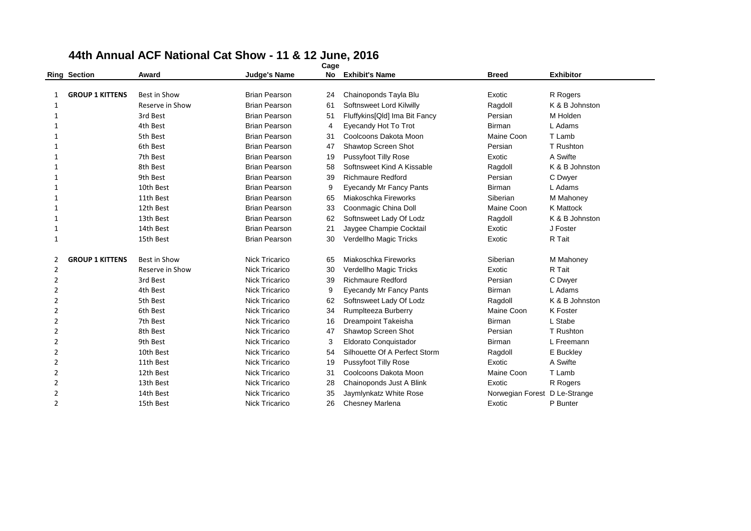|                | <b>Ring Section</b>    | Award               | <b>Judge's Name</b>   | <b>No</b> | <b>Exhibit's Name</b>          | <b>Breed</b>                  | <b>Exhibitor</b> |
|----------------|------------------------|---------------------|-----------------------|-----------|--------------------------------|-------------------------------|------------------|
|                |                        |                     |                       |           |                                |                               |                  |
| 1              | <b>GROUP 1 KITTENS</b> | <b>Best in Show</b> | <b>Brian Pearson</b>  | 24        | Chainoponds Tayla Blu          | Exotic                        | R Rogers         |
| 1              |                        | Reserve in Show     | <b>Brian Pearson</b>  | 61        | Softnsweet Lord Kilwilly       | Ragdoll                       | K & B Johnston   |
| 1              |                        | 3rd Best            | <b>Brian Pearson</b>  | 51        | Fluffykins[Qld] Ima Bit Fancy  | Persian                       | M Holden         |
| 1              |                        | 4th Best            | <b>Brian Pearson</b>  | 4         | Eyecandy Hot To Trot           | <b>Birman</b>                 | L Adams          |
|                |                        | 5th Best            | <b>Brian Pearson</b>  | 31        | Coolcoons Dakota Moon          | Maine Coon                    | T Lamb           |
| $\mathbf{1}$   |                        | 6th Best            | <b>Brian Pearson</b>  | 47        | Shawtop Screen Shot            | Persian                       | T Rushton        |
| 1              |                        | 7th Best            | <b>Brian Pearson</b>  | 19        | Pussyfoot Tilly Rose           | Exotic                        | A Swifte         |
| 1              |                        | 8th Best            | <b>Brian Pearson</b>  | 58        | Softnsweet Kind A Kissable     | Ragdoll                       | K & B Johnston   |
|                |                        | 9th Best            | <b>Brian Pearson</b>  | 39        | <b>Richmaure Redford</b>       | Persian                       | C Dwyer          |
| 1              |                        | 10th Best           | <b>Brian Pearson</b>  | 9         | <b>Eyecandy Mr Fancy Pants</b> | <b>Birman</b>                 | L Adams          |
| 1              |                        | 11th Best           | <b>Brian Pearson</b>  | 65        | Miakoschka Fireworks           | Siberian                      | M Mahoney        |
| 1              |                        | 12th Best           | <b>Brian Pearson</b>  | 33        | Coonmagic China Doll           | Maine Coon                    | <b>K</b> Mattock |
| 1              |                        | 13th Best           | <b>Brian Pearson</b>  | 62        | Softnsweet Lady Of Lodz        | Ragdoll                       | K & B Johnston   |
| 1              |                        | 14th Best           | <b>Brian Pearson</b>  | 21        | Jaygee Champie Cocktail        | Exotic                        | J Foster         |
| 1              |                        | 15th Best           | <b>Brian Pearson</b>  | 30        | Verdellho Magic Tricks         | Exotic                        | R Tait           |
| 2              | <b>GROUP 1 KITTENS</b> | Best in Show        | <b>Nick Tricarico</b> | 65        | Miakoschka Fireworks           | Siberian                      | M Mahoney        |
| 2              |                        | Reserve in Show     | <b>Nick Tricarico</b> | 30        | Verdellho Magic Tricks         | Exotic                        | R Tait           |
| 2              |                        | 3rd Best            | <b>Nick Tricarico</b> | 39        | <b>Richmaure Redford</b>       | Persian                       | C Dwyer          |
| 2              |                        | 4th Best            | <b>Nick Tricarico</b> | 9         | <b>Eyecandy Mr Fancy Pants</b> | <b>Birman</b>                 | L Adams          |
| 2              |                        | 5th Best            | <b>Nick Tricarico</b> | 62        | Softnsweet Lady Of Lodz        | Ragdoll                       | K & B Johnston   |
| 2              |                        | 6th Best            | Nick Tricarico        | 34        | Rumplteeza Burberry            | Maine Coon                    | K Foster         |
| 2              |                        | 7th Best            | <b>Nick Tricarico</b> | 16        | <b>Dreampoint Takeisha</b>     | <b>Birman</b>                 | L Stabe          |
| 2              |                        | 8th Best            | <b>Nick Tricarico</b> | 47        | Shawtop Screen Shot            | Persian                       | T Rushton        |
| 2              |                        | 9th Best            | <b>Nick Tricarico</b> | 3         | Eldorato Conquistador          | Birman                        | L Freemann       |
| 2              |                        | 10th Best           | <b>Nick Tricarico</b> | 54        | Silhouette Of A Perfect Storm  | Ragdoll                       | E Buckley        |
| 2              |                        | 11th Best           | Nick Tricarico        | 19        | <b>Pussyfoot Tilly Rose</b>    | Exotic                        | A Swifte         |
| 2              |                        | 12th Best           | <b>Nick Tricarico</b> | 31        | Coolcoons Dakota Moon          | Maine Coon                    | T Lamb           |
| 2              |                        | 13th Best           | <b>Nick Tricarico</b> | 28        | Chainoponds Just A Blink       | Exotic                        | R Rogers         |
| $\overline{2}$ |                        | 14th Best           | <b>Nick Tricarico</b> | 35        | Jaymlynkatz White Rose         | Norwegian Forest D Le-Strange |                  |
| $\overline{2}$ |                        | 15th Best           | <b>Nick Tricarico</b> | 26        | Chesney Marlena                | Exotic                        | P Bunter         |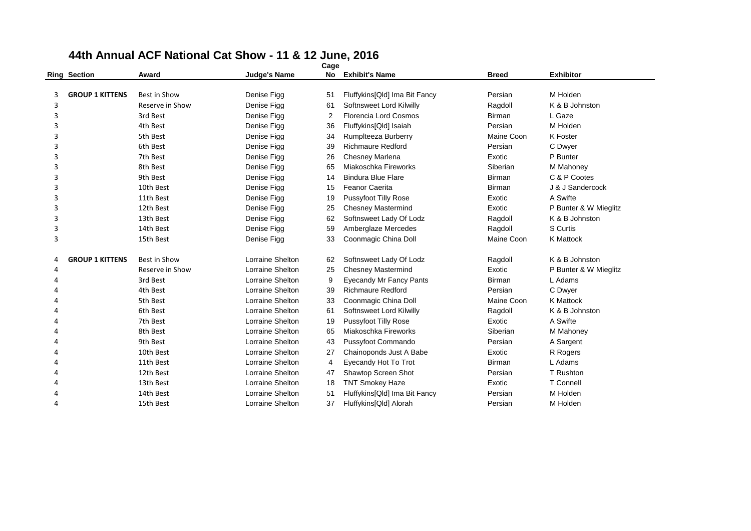|                     | Cage                   |                     |                     |    |                                |               |                       |  |  |  |  |  |
|---------------------|------------------------|---------------------|---------------------|----|--------------------------------|---------------|-----------------------|--|--|--|--|--|
| <b>Ring Section</b> |                        | Award               | <b>Judge's Name</b> | No | <b>Exhibit's Name</b>          | <b>Breed</b>  | <b>Exhibitor</b>      |  |  |  |  |  |
|                     |                        |                     |                     |    |                                |               |                       |  |  |  |  |  |
| 3                   | <b>GROUP 1 KITTENS</b> | <b>Best in Show</b> | Denise Figg         | 51 | Fluffykins[Qld] Ima Bit Fancy  | Persian       | M Holden              |  |  |  |  |  |
| 3                   |                        | Reserve in Show     | Denise Figg         | 61 | Softnsweet Lord Kilwilly       | Ragdoll       | K & B Johnston        |  |  |  |  |  |
| 3                   |                        | 3rd Best            | Denise Figg         | 2  | Florencia Lord Cosmos          | <b>Birman</b> | L Gaze                |  |  |  |  |  |
| 3                   |                        | 4th Best            | Denise Figg         | 36 | Fluffykins[Qld] Isaiah         | Persian       | M Holden              |  |  |  |  |  |
| 3                   |                        | 5th Best            | Denise Figg         | 34 | Rumplteeza Burberry            | Maine Coon    | K Foster              |  |  |  |  |  |
| 3                   |                        | 6th Best            | Denise Figg         | 39 | <b>Richmaure Redford</b>       | Persian       | C Dwyer               |  |  |  |  |  |
| 3                   |                        | 7th Best            | Denise Figg         | 26 | <b>Chesney Marlena</b>         | Exotic        | P Bunter              |  |  |  |  |  |
| 3                   |                        | 8th Best            | Denise Figg         | 65 | Miakoschka Fireworks           | Siberian      | M Mahoney             |  |  |  |  |  |
| 3                   |                        | 9th Best            | Denise Figg         | 14 | <b>Bindura Blue Flare</b>      | Birman        | C & P Cootes          |  |  |  |  |  |
| 3                   |                        | 10th Best           | Denise Figg         | 15 | <b>Feanor Caerita</b>          | Birman        | J & J Sandercock      |  |  |  |  |  |
| 3                   |                        | 11th Best           | Denise Figg         | 19 | Pussyfoot Tilly Rose           | Exotic        | A Swifte              |  |  |  |  |  |
| 3                   |                        | 12th Best           | Denise Figg         | 25 | <b>Chesney Mastermind</b>      | Exotic        | P Bunter & W Mieglitz |  |  |  |  |  |
| 3                   |                        | 13th Best           | Denise Figg         | 62 | Softnsweet Lady Of Lodz        | Ragdoll       | K & B Johnston        |  |  |  |  |  |
| 3                   |                        | 14th Best           | Denise Figg         | 59 | Amberglaze Mercedes            | Ragdoll       | S Curtis              |  |  |  |  |  |
| 3                   |                        | 15th Best           | Denise Figg         | 33 | Coonmagic China Doll           | Maine Coon    | <b>K</b> Mattock      |  |  |  |  |  |
| Δ                   | <b>GROUP 1 KITTENS</b> | <b>Best in Show</b> | Lorraine Shelton    | 62 | Softnsweet Lady Of Lodz        | Ragdoll       | K & B Johnston        |  |  |  |  |  |
| 4                   |                        | Reserve in Show     | Lorraine Shelton    | 25 | <b>Chesney Mastermind</b>      | Exotic        | P Bunter & W Mieglitz |  |  |  |  |  |
| 4                   |                        | 3rd Best            | Lorraine Shelton    | 9  | <b>Eyecandy Mr Fancy Pants</b> | Birman        | L Adams               |  |  |  |  |  |
|                     |                        | 4th Best            | Lorraine Shelton    | 39 | <b>Richmaure Redford</b>       | Persian       | C Dwyer               |  |  |  |  |  |
|                     |                        | 5th Best            | Lorraine Shelton    | 33 | Coonmagic China Doll           | Maine Coon    | K Mattock             |  |  |  |  |  |
|                     |                        | 6th Best            | Lorraine Shelton    | 61 | Softnsweet Lord Kilwilly       | Ragdoll       | K & B Johnston        |  |  |  |  |  |
|                     |                        | 7th Best            | Lorraine Shelton    | 19 | <b>Pussyfoot Tilly Rose</b>    | Exotic        | A Swifte              |  |  |  |  |  |
| л                   |                        | 8th Best            | Lorraine Shelton    | 65 | Miakoschka Fireworks           | Siberian      | M Mahoney             |  |  |  |  |  |
|                     |                        | 9th Best            | Lorraine Shelton    | 43 | Pussyfoot Commando             | Persian       | A Sargent             |  |  |  |  |  |
|                     |                        | 10th Best           | Lorraine Shelton    | 27 | Chainoponds Just A Babe        | Exotic        | R Rogers              |  |  |  |  |  |
|                     |                        | 11th Best           | Lorraine Shelton    | 4  | Eyecandy Hot To Trot           | Birman        | L Adams               |  |  |  |  |  |
|                     |                        | 12th Best           | Lorraine Shelton    | 47 | Shawtop Screen Shot            | Persian       | T Rushton             |  |  |  |  |  |
|                     |                        | 13th Best           | Lorraine Shelton    | 18 | <b>TNT Smokey Haze</b>         | Exotic        | T Connell             |  |  |  |  |  |
|                     |                        | 14th Best           | Lorraine Shelton    | 51 | Fluffykins[Qld] Ima Bit Fancy  | Persian       | M Holden              |  |  |  |  |  |
|                     |                        | 15th Best           | Lorraine Shelton    | 37 | Fluffykins[Qld] Alorah         | Persian       | M Holden              |  |  |  |  |  |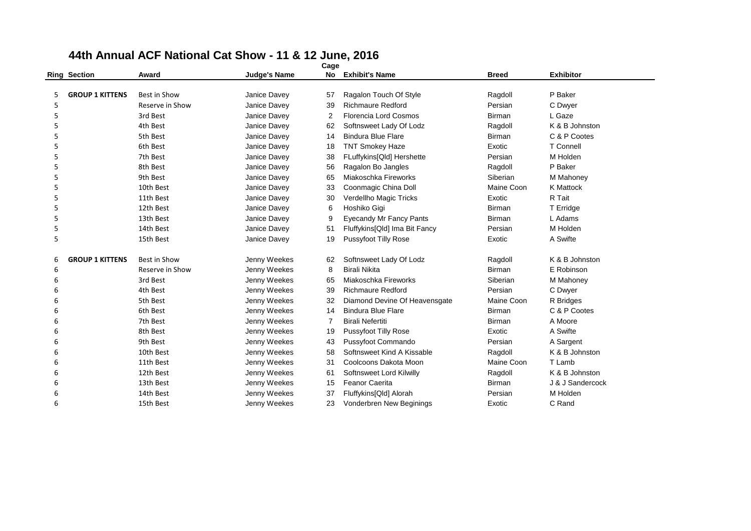|   |                        |                     |                     | ⊂age |                                 |               |                  |
|---|------------------------|---------------------|---------------------|------|---------------------------------|---------------|------------------|
|   | <b>Ring Section</b>    | Award               | <b>Judge's Name</b> | No   | <b>Exhibit's Name</b>           | <b>Breed</b>  | <b>Exhibitor</b> |
|   |                        |                     |                     |      |                                 |               |                  |
| 5 | <b>GROUP 1 KITTENS</b> | Best in Show        | Janice Davey        | 57   | Ragalon Touch Of Style          | Ragdoll       | P Baker          |
| 5 |                        | Reserve in Show     | Janice Davey        | 39   | <b>Richmaure Redford</b>        | Persian       | C Dwyer          |
| 5 |                        | 3rd Best            | Janice Davey        | 2    | Florencia Lord Cosmos           | <b>Birman</b> | L Gaze           |
| 5 |                        | 4th Best            | Janice Davey        | 62   | Softnsweet Lady Of Lodz         | Ragdoll       | K & B Johnston   |
| 5 |                        | 5th Best            | Janice Davey        | 14   | <b>Bindura Blue Flare</b>       | <b>Birman</b> | C & P Cootes     |
| 5 |                        | 6th Best            | Janice Davey        | 18   | <b>TNT Smokey Haze</b>          | Exotic        | T Connell        |
| 5 |                        | 7th Best            | Janice Davey        | 38   | FLuffykins[Qld] Hershette       | Persian       | M Holden         |
| 5 |                        | 8th Best            | Janice Davey        | 56   | Ragalon Bo Jangles              | Ragdoll       | P Baker          |
| 5 |                        | 9th Best            | Janice Davey        | 65   | Miakoschka Fireworks            | Siberian      | M Mahoney        |
| 5 |                        | 10th Best           | Janice Davey        | 33   | Coonmagic China Doll            | Maine Coon    | <b>K</b> Mattock |
| 5 |                        | 11th Best           | Janice Davey        | 30   | Verdellho Magic Tricks          | Exotic        | R Tait           |
| 5 |                        | 12th Best           | Janice Davey        | 6    | Hoshiko Gigi                    | <b>Birman</b> | T Erridge        |
| 5 |                        | 13th Best           | Janice Davey        | 9    | <b>Eyecandy Mr Fancy Pants</b>  | <b>Birman</b> | L Adams          |
| 5 |                        | 14th Best           | Janice Davey        | 51   | Fluffykins[Qld] Ima Bit Fancy   | Persian       | M Holden         |
| 5 |                        | 15th Best           | Janice Davey        | 19   | <b>Pussyfoot Tilly Rose</b>     | Exotic        | A Swifte         |
| 6 | <b>GROUP 1 KITTENS</b> | <b>Best in Show</b> | Jenny Weekes        | 62   | Softnsweet Lady Of Lodz         | Ragdoll       | K & B Johnston   |
| 6 |                        | Reserve in Show     | Jenny Weekes        | 8    | <b>Birali Nikita</b>            | <b>Birman</b> | E Robinson       |
| 6 |                        | 3rd Best            | Jenny Weekes        | 65   | Miakoschka Fireworks            | Siberian      | M Mahoney        |
| 6 |                        | 4th Best            | Jenny Weekes        | 39   | <b>Richmaure Redford</b>        | Persian       | C Dwyer          |
| 6 |                        | 5th Best            | Jenny Weekes        | 32   | Diamond Devine Of Heavensgate   | Maine Coon    | R Bridges        |
| 6 |                        | 6th Best            | Jenny Weekes        | 14   | <b>Bindura Blue Flare</b>       | <b>Birman</b> | C & P Cootes     |
| 6 |                        | 7th Best            | Jenny Weekes        | 7    | <b>Birali Nefertiti</b>         | Birman        | A Moore          |
| 6 |                        | 8th Best            | Jenny Weekes        | 19   | <b>Pussyfoot Tilly Rose</b>     | Exotic        | A Swifte         |
| 6 |                        | 9th Best            | Jenny Weekes        | 43   | Pussyfoot Commando              | Persian       | A Sargent        |
| 6 |                        | 10th Best           | Jenny Weekes        | 58   | Softnsweet Kind A Kissable      | Ragdoll       | K & B Johnston   |
| 6 |                        | 11th Best           | Jenny Weekes        | 31   | Coolcoons Dakota Moon           | Maine Coon    | T Lamb           |
| 6 |                        | 12th Best           | Jenny Weekes        | 61   | Softnsweet Lord Kilwilly        | Ragdoll       | K & B Johnston   |
| 6 |                        | 13th Best           | Jenny Weekes        | 15   | <b>Feanor Caerita</b>           | <b>Birman</b> | J & J Sandercock |
| 6 |                        | 14th Best           | Jenny Weekes        | 37   | Fluffykins[Qld] Alorah          | Persian       | M Holden         |
| 6 |                        | 15th Best           | Jenny Weekes        | 23   | <b>Vonderbren New Beginings</b> | Exotic        | C Rand           |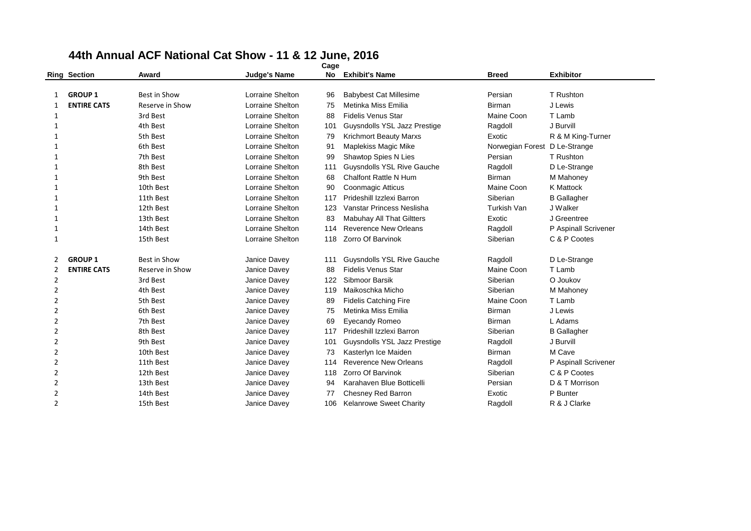|                | <b>Ring Section</b> | Award           | <b>Judge's Name</b>     | No  | <b>Exhibit's Name</b>             | <b>Breed</b>                  | <b>Exhibitor</b>     |
|----------------|---------------------|-----------------|-------------------------|-----|-----------------------------------|-------------------------------|----------------------|
|                |                     |                 |                         |     |                                   |                               |                      |
| 1              | <b>GROUP 1</b>      | Best in Show    | Lorraine Shelton        | 96  | <b>Babybest Cat Millesime</b>     | Persian                       | T Rushton            |
| 1              | <b>ENTIRE CATS</b>  | Reserve in Show | Lorraine Shelton        | 75  | Metinka Miss Emilia               | <b>Birman</b>                 | J Lewis              |
| 1              |                     | 3rd Best        | Lorraine Shelton        | 88  | <b>Fidelis Venus Star</b>         | Maine Coon                    | T Lamb               |
| 1              |                     | 4th Best        | Lorraine Shelton        | 101 | Guysndolls YSL Jazz Prestige      | Ragdoll                       | J Burvill            |
| 1              |                     | 5th Best        | Lorraine Shelton        | 79  | <b>Krichmort Beauty Marxs</b>     | Exotic                        | R & M King-Turner    |
| $\mathbf{1}$   |                     | 6th Best        | <b>Lorraine Shelton</b> | 91  | Maplekiss Magic Mike              | Norwegian Forest D Le-Strange |                      |
| $\mathbf{1}$   |                     | 7th Best        | Lorraine Shelton        | 99  | Shawtop Spies N Lies              | Persian                       | T Rushton            |
| $\mathbf{1}$   |                     | 8th Best        | Lorraine Shelton        | 111 | <b>Guysndolls YSL Rive Gauche</b> | Ragdoll                       | D Le-Strange         |
| 1              |                     | 9th Best        | Lorraine Shelton        | 68  | <b>Chalfont Rattle N Hum</b>      | <b>Birman</b>                 | M Mahoney            |
| 1              |                     | 10th Best       | Lorraine Shelton        | 90  | Coonmagic Atticus                 | Maine Coon                    | K Mattock            |
| 1              |                     | 11th Best       | Lorraine Shelton        | 117 | Prideshill Izzlexi Barron         | Siberian                      | <b>B</b> Gallagher   |
| 1              |                     | 12th Best       | Lorraine Shelton        | 123 | Vanstar Princess Neslisha         | Turkish Van                   | J Walker             |
| 1              |                     | 13th Best       | <b>Lorraine Shelton</b> | 83  | <b>Mabuhay All That Giltters</b>  | Exotic                        | J Greentree          |
| 1              |                     | 14th Best       | Lorraine Shelton        | 114 | <b>Reverence New Orleans</b>      | Ragdoll                       | P Aspinall Scrivener |
| $\mathbf{1}$   |                     | 15th Best       | Lorraine Shelton        | 118 | Zorro Of Barvinok                 | Siberian                      | C & P Cootes         |
| 2              | <b>GROUP 1</b>      | Best in Show    | Janice Davey            | 111 | Guysndolls YSL Rive Gauche        | Ragdoll                       | D Le-Strange         |
| 2              | <b>ENTIRE CATS</b>  | Reserve in Show | Janice Davey            | 88  | <b>Fidelis Venus Star</b>         | Maine Coon                    | T Lamb               |
| 2              |                     | 3rd Best        | Janice Davey            | 122 | Sibmoor Barsik                    | Siberian                      | O Joukov             |
| 2              |                     | 4th Best        | Janice Davey            | 119 | Maikoschka Micho                  | Siberian                      | M Mahoney            |
| 2              |                     | 5th Best        | Janice Davey            | 89  | <b>Fidelis Catching Fire</b>      | Maine Coon                    | T Lamb               |
| 2              |                     | 6th Best        | Janice Davey            | 75  | Metinka Miss Emilia               | <b>Birman</b>                 | J Lewis              |
| 2              |                     | 7th Best        | Janice Davey            | 69  | Eyecandy Romeo                    | Birman                        | L Adams              |
| 2              |                     | 8th Best        | Janice Davey            | 117 | Prideshill Izzlexi Barron         | Siberian                      | <b>B</b> Gallagher   |
| 2              |                     | 9th Best        | Janice Davey            | 101 | Guysndolls YSL Jazz Prestige      | Ragdoll                       | J Burvill            |
| 2              |                     | 10th Best       | Janice Davey            | 73  | Kasterlyn Ice Maiden              | Birman                        | M Cave               |
| 2              |                     | 11th Best       | Janice Davey            | 114 | <b>Reverence New Orleans</b>      | Ragdoll                       | P Aspinall Scrivener |
| 2              |                     | 12th Best       | Janice Davey            | 118 | Zorro Of Barvinok                 | Siberian                      | C & P Cootes         |
| 2              |                     | 13th Best       | Janice Davey            | 94  | Karahaven Blue Botticelli         | Persian                       | D & T Morrison       |
| $\overline{2}$ |                     | 14th Best       | Janice Davey            | 77  | Chesney Red Barron                | Exotic                        | P Bunter             |
| 2              |                     | 15th Best       | Janice Davey            | 106 | <b>Kelanrowe Sweet Charity</b>    | Ragdoll                       | R & J Clarke         |
|                |                     |                 |                         |     |                                   |                               |                      |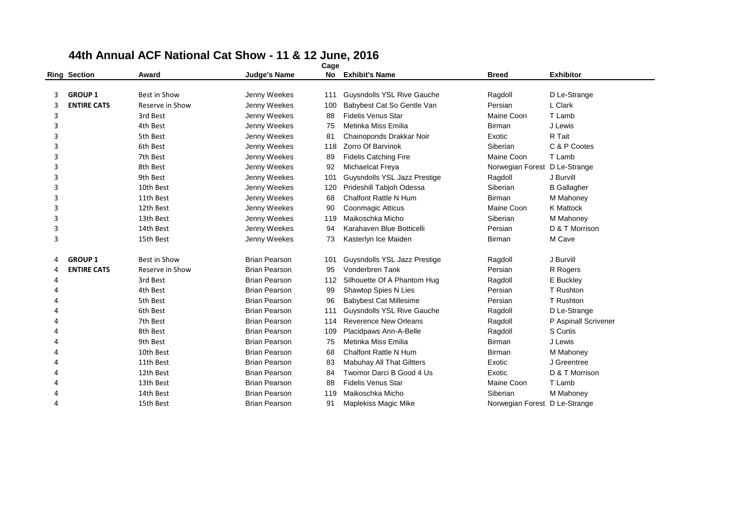|                | <b>Ring Section</b> | Award           | <b>Judge's Name</b>                          | No         | <b>Exhibit's Name</b>                                      | <b>Breed</b>                  | <b>Exhibitor</b>      |
|----------------|---------------------|-----------------|----------------------------------------------|------------|------------------------------------------------------------|-------------------------------|-----------------------|
|                |                     |                 |                                              |            |                                                            |                               |                       |
| 3              | <b>GROUP 1</b>      | Best in Show    | Jenny Weekes                                 | 111        | <b>Guysndolls YSL Rive Gauche</b>                          | Ragdoll                       | D Le-Strange          |
| 3              | <b>ENTIRE CATS</b>  | Reserve in Show | Jenny Weekes                                 | 100        | Babybest Cat So Gentle Van                                 | Persian                       | L Clark               |
| 3              |                     | 3rd Best        | Jenny Weekes                                 | 88         | <b>Fidelis Venus Star</b>                                  | Maine Coon                    | T Lamb                |
| 3              |                     | 4th Best        | Jenny Weekes                                 | 75         | Metinka Miss Emilia                                        | <b>Birman</b>                 | J Lewis               |
| 3              |                     | 5th Best        | Jenny Weekes                                 | 81         | Chainoponds Drakkar Noir                                   | Exotic                        | R Tait                |
| 3              |                     | 6th Best        | Jenny Weekes                                 | 118        | Zorro Of Barvinok                                          | Siberian                      | C & P Cootes          |
| 3              |                     | 7th Best        | Jenny Weekes                                 | 89         | <b>Fidelis Catching Fire</b>                               | Maine Coon                    | T Lamb                |
| 3              |                     | 8th Best        | Jenny Weekes                                 | 92         | Michaelcat Freya                                           | Norwegian Forest              | D Le-Strange          |
| 3              |                     | 9th Best        | Jenny Weekes                                 | 101        | Guysndolls YSL Jazz Prestige                               | Ragdoll                       | J Burvill             |
| 3              |                     | 10th Best       | Jenny Weekes                                 | 120        | Prideshill Tabjoh Odessa                                   | Siberian                      | <b>B</b> Gallagher    |
| 3              |                     | 11th Best       | Jenny Weekes                                 | 68         | Chalfont Rattle N Hum                                      | <b>Birman</b>                 | M Mahoney             |
| 3              |                     | 12th Best       | Jenny Weekes                                 | 90         | Coonmagic Atticus                                          | Maine Coon                    | K Mattock             |
| 3              |                     | 13th Best       | Jenny Weekes                                 | 119        | Maikoschka Micho                                           | Siberian                      | M Mahoney             |
| 3              |                     | 14th Best       | Jenny Weekes                                 | 94         | Karahaven Blue Botticelli                                  | Persian                       | D & T Morrison        |
| 3              |                     | 15th Best       | Jenny Weekes                                 | 73         | Kasterlyn Ice Maiden                                       | Birman                        | M Cave                |
| 4              | <b>GROUP 1</b>      | Best in Show    | <b>Brian Pearson</b>                         | 101        | Guysndolls YSL Jazz Prestige                               |                               | J Burvill             |
| 4              | <b>ENTIRE CATS</b>  | Reserve in Show | <b>Brian Pearson</b>                         | 95         | Vonderbren Tank                                            | Ragdoll<br>Persian            |                       |
|                |                     | 3rd Best        | <b>Brian Pearson</b>                         | 112        | Silhouette Of A Phantom Hug                                |                               | R Rogers<br>E Buckley |
| 4<br>Δ         |                     | 4th Best        | <b>Brian Pearson</b>                         |            |                                                            | Ragdoll<br>Persian            | T Rushton             |
| 4              |                     | 5th Best        | <b>Brian Pearson</b>                         | 99<br>96   | Shawtop Spies N Lies<br><b>Babybest Cat Millesime</b>      | Persian                       | T Rushton             |
|                |                     | 6th Best        | <b>Brian Pearson</b>                         |            |                                                            |                               |                       |
|                |                     | 7th Best        | <b>Brian Pearson</b>                         | 111<br>114 | <b>Guysndolls YSL Rive Gauche</b><br>Reverence New Orleans | Ragdoll                       | D Le-Strange          |
| 4<br>$\Lambda$ |                     |                 |                                              |            |                                                            | Ragdoll                       | P Aspinall Scrivener  |
|                |                     | 8th Best        | <b>Brian Pearson</b><br><b>Brian Pearson</b> | 109        | Placidpaws Ann-A-Belle<br>Metinka Miss Emilia              | Ragdoll<br><b>Birman</b>      | <b>S</b> Curtis       |
|                |                     | 9th Best        |                                              | 75         |                                                            |                               | J Lewis               |
|                |                     | 10th Best       | <b>Brian Pearson</b>                         | 68         | <b>Chalfont Rattle N Hum</b>                               | <b>Birman</b>                 | M Mahoney             |
| Δ              |                     | 11th Best       | <b>Brian Pearson</b>                         | 83         | <b>Mabuhay All That Giltters</b>                           | Exotic                        | J Greentree           |
| 4              |                     | 12th Best       | <b>Brian Pearson</b>                         | 84         | Twomor Darci B Good 4 Us                                   | Exotic                        | D & T Morrison        |
| Δ              |                     | 13th Best       | <b>Brian Pearson</b>                         | 88         | <b>Fidelis Venus Star</b>                                  | Maine Coon                    | T Lamb                |
| Δ              |                     | 14th Best       | <b>Brian Pearson</b>                         | 119        | Maikoschka Micho                                           | Siberian                      | M Mahoney             |
| Δ              |                     | 15th Best       | <b>Brian Pearson</b>                         | 91         | Maplekiss Magic Mike                                       | Norwegian Forest D Le-Strange |                       |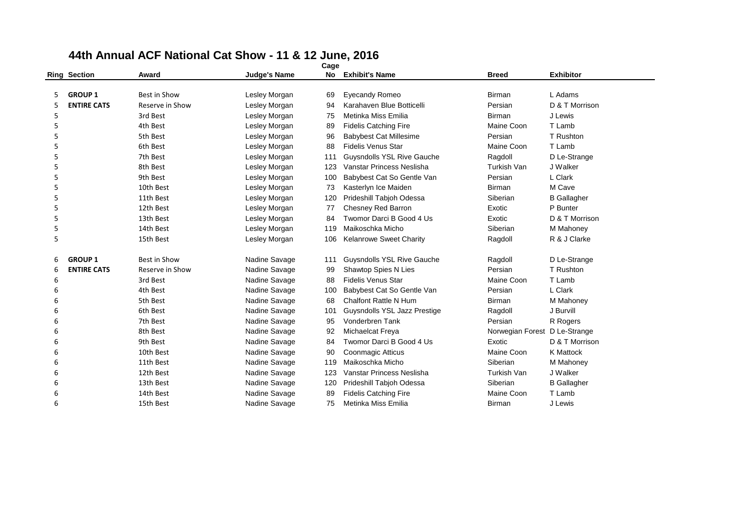|   | <b>Ring Section</b> | Award           | <b>Judge's Name</b> | No  | <b>Exhibit's Name</b>             | <b>Breed</b>     | <b>Exhibitor</b>   |
|---|---------------------|-----------------|---------------------|-----|-----------------------------------|------------------|--------------------|
|   |                     |                 |                     |     |                                   |                  |                    |
| 5 | <b>GROUP 1</b>      | Best in Show    | Lesley Morgan       | 69  | <b>Eyecandy Romeo</b>             | <b>Birman</b>    | L Adams            |
| 5 | <b>ENTIRE CATS</b>  | Reserve in Show | Lesley Morgan       | 94  | Karahaven Blue Botticelli         | Persian          | D & T Morrison     |
| 5 |                     | 3rd Best        | Lesley Morgan       | 75  | Metinka Miss Emilia               | <b>Birman</b>    | J Lewis            |
| 5 |                     | 4th Best        | Lesley Morgan       | 89  | <b>Fidelis Catching Fire</b>      | Maine Coon       | T Lamb             |
| 5 |                     | 5th Best        | Lesley Morgan       | 96  | <b>Babybest Cat Millesime</b>     | Persian          | T Rushton          |
| 5 |                     | 6th Best        | Lesley Morgan       | 88  | <b>Fidelis Venus Star</b>         | Maine Coon       | T Lamb             |
| 5 |                     | 7th Best        | Lesley Morgan       | 111 | <b>Guysndolls YSL Rive Gauche</b> | Ragdoll          | D Le-Strange       |
| 5 |                     | 8th Best        | Lesley Morgan       | 123 | Vanstar Princess Neslisha         | Turkish Van      | J Walker           |
| 5 |                     | 9th Best        | Lesley Morgan       | 100 | Babybest Cat So Gentle Van        | Persian          | L Clark            |
| 5 |                     | 10th Best       | Lesley Morgan       | 73  | Kasterlyn Ice Maiden              | <b>Birman</b>    | M Cave             |
| 5 |                     | 11th Best       | Lesley Morgan       | 120 | Prideshill Tabjoh Odessa          | Siberian         | <b>B</b> Gallagher |
| 5 |                     | 12th Best       | Lesley Morgan       | 77  | Chesney Red Barron                | Exotic           | P Bunter           |
| 5 |                     | 13th Best       | Lesley Morgan       | 84  | Twomor Darci B Good 4 Us          | Exotic           | D & T Morrison     |
| 5 |                     | 14th Best       | Lesley Morgan       | 119 | Maikoschka Micho                  | Siberian         | M Mahoney          |
| 5 |                     | 15th Best       | Lesley Morgan       | 106 | Kelanrowe Sweet Charity           | Ragdoll          | R & J Clarke       |
|   |                     |                 |                     |     |                                   |                  |                    |
| 6 | <b>GROUP 1</b>      | Best in Show    | Nadine Savage       | 111 | <b>Guysndolls YSL Rive Gauche</b> | Ragdoll          | D Le-Strange       |
| 6 | <b>ENTIRE CATS</b>  | Reserve in Show | Nadine Savage       | 99  | Shawtop Spies N Lies              | Persian          | T Rushton          |
| 6 |                     | 3rd Best        | Nadine Savage       | 88  | <b>Fidelis Venus Star</b>         | Maine Coon       | T Lamb             |
| 6 |                     | 4th Best        | Nadine Savage       | 100 | Babybest Cat So Gentle Van        | Persian          | L Clark            |
| 6 |                     | 5th Best        | Nadine Savage       | 68  | Chalfont Rattle N Hum             | <b>Birman</b>    | M Mahoney          |
| 6 |                     | 6th Best        | Nadine Savage       | 101 | Guysndolls YSL Jazz Prestige      | Ragdoll          | J Burvill          |
| 6 |                     | 7th Best        | Nadine Savage       | 95  | Vonderbren Tank                   | Persian          | R Rogers           |
| 6 |                     | 8th Best        | Nadine Savage       | 92  | Michaelcat Freya                  | Norwegian Forest | D Le-Strange       |
| 6 |                     | 9th Best        | Nadine Savage       | 84  | Twomor Darci B Good 4 Us          | Exotic           | D & T Morrison     |
| 6 |                     | 10th Best       | Nadine Savage       | 90  | Coonmagic Atticus                 | Maine Coon       | <b>K</b> Mattock   |
| 6 |                     | 11th Best       | Nadine Savage       | 119 | Maikoschka Micho                  | Siberian         | M Mahoney          |
| 6 |                     | 12th Best       | Nadine Savage       | 123 | Vanstar Princess Neslisha         | Turkish Van      | J Walker           |
| 6 |                     | 13th Best       | Nadine Savage       | 120 | Prideshill Tabjoh Odessa          | Siberian         | <b>B</b> Gallagher |
| 6 |                     | 14th Best       | Nadine Savage       | 89  | <b>Fidelis Catching Fire</b>      | Maine Coon       | T Lamb             |
| 6 |                     | 15th Best       | Nadine Savage       | 75  | Metinka Miss Emilia               | <b>Birman</b>    | J Lewis            |
|   |                     |                 |                     |     |                                   |                  |                    |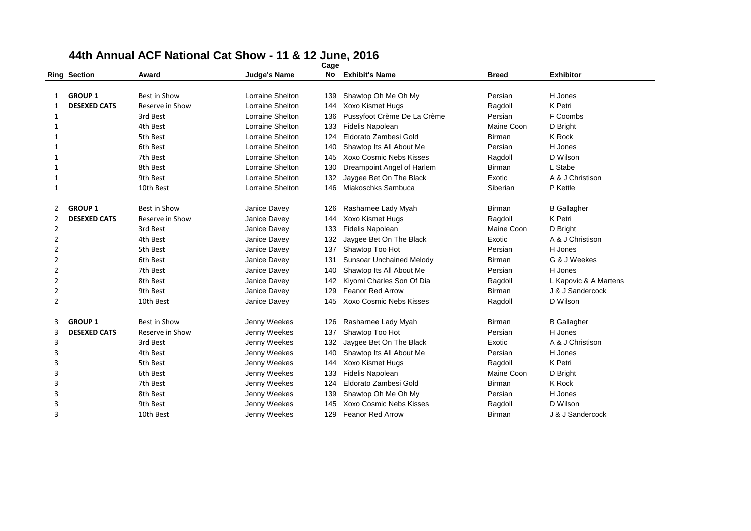|                | <b>Ring Section</b> | Award               | <b>Judge's Name</b>     | No  | <b>Exhibit's Name</b>           | <b>Breed</b>  | <b>Exhibitor</b>      |
|----------------|---------------------|---------------------|-------------------------|-----|---------------------------------|---------------|-----------------------|
|                |                     |                     |                         |     |                                 |               |                       |
| 1              | <b>GROUP 1</b>      | <b>Best in Show</b> | <b>Lorraine Shelton</b> | 139 | Shawtop Oh Me Oh My             | Persian       | H Jones               |
| 1              | <b>DESEXED CATS</b> | Reserve in Show     | <b>Lorraine Shelton</b> | 144 | <b>Xoxo Kismet Hugs</b>         | Ragdoll       | K Petri               |
| 1              |                     | 3rd Best            | <b>Lorraine Shelton</b> | 136 | Pussyfoot Crème De La Crème     | Persian       | F Coombs              |
| 1              |                     | 4th Best            | <b>Lorraine Shelton</b> | 133 | <b>Fidelis Napolean</b>         | Maine Coon    | D Bright              |
| 1              |                     | 5th Best            | <b>Lorraine Shelton</b> | 124 | Eldorato Zambesi Gold           | <b>Birman</b> | K Rock                |
| 1              |                     | 6th Best            | <b>Lorraine Shelton</b> | 140 | Shawtop Its All About Me        | Persian       | H Jones               |
| 1              |                     | 7th Best            | <b>Lorraine Shelton</b> | 145 | Xoxo Cosmic Nebs Kisses         | Ragdoll       | D Wilson              |
| 1              |                     | 8th Best            | <b>Lorraine Shelton</b> | 130 | Dreampoint Angel of Harlem      | <b>Birman</b> | L Stabe               |
| 1              |                     | 9th Best            | <b>Lorraine Shelton</b> | 132 | Jaygee Bet On The Black         | Exotic        | A & J Christison      |
| 1              |                     | 10th Best           | <b>Lorraine Shelton</b> | 146 | Miakoschks Sambuca              | Siberian      | P Kettle              |
| 2              | <b>GROUP 1</b>      | <b>Best in Show</b> | Janice Davey            | 126 | Rasharnee Lady Myah             | <b>Birman</b> | <b>B</b> Gallagher    |
| 2              | <b>DESEXED CATS</b> | Reserve in Show     | Janice Davey            | 144 | Xoxo Kismet Hugs                | Ragdoll       | K Petri               |
| $\overline{2}$ |                     | 3rd Best            | Janice Davey            | 133 | Fidelis Napolean                | Maine Coon    | D Bright              |
| $\overline{2}$ |                     | 4th Best            | Janice Davey            | 132 | Jaygee Bet On The Black         | Exotic        | A & J Christison      |
| $\overline{2}$ |                     | 5th Best            | Janice Davey            | 137 | Shawtop Too Hot                 | Persian       | H Jones               |
| $\overline{2}$ |                     | 6th Best            | Janice Davey            | 131 | <b>Sunsoar Unchained Melody</b> | Birman        | G & J Weekes          |
| 2              |                     | 7th Best            | Janice Davey            | 140 | Shawtop Its All About Me        | Persian       | H Jones               |
| $\overline{2}$ |                     | 8th Best            | Janice Davey            | 142 | Kiyomi Charles Son Of Dia       | Ragdoll       | L Kapovic & A Martens |
| $\overline{2}$ |                     | 9th Best            | Janice Davey            | 129 | <b>Feanor Red Arrow</b>         | <b>Birman</b> | J & J Sandercock      |
| $\overline{2}$ |                     | 10th Best           | Janice Davey            | 145 | Xoxo Cosmic Nebs Kisses         | Ragdoll       | D Wilson              |
| 3              | <b>GROUP 1</b>      | <b>Best in Show</b> | Jenny Weekes            | 126 | Rasharnee Lady Myah             | <b>Birman</b> | <b>B</b> Gallagher    |
| 3              | <b>DESEXED CATS</b> | Reserve in Show     | Jenny Weekes            | 137 | Shawtop Too Hot                 | Persian       | H Jones               |
| 3              |                     | 3rd Best            | Jenny Weekes            | 132 | Jaygee Bet On The Black         | Exotic        | A & J Christison      |
| 3              |                     | 4th Best            | Jenny Weekes            | 140 | Shawtop Its All About Me        | Persian       | H Jones               |
| 3              |                     | 5th Best            | Jenny Weekes            | 144 | Xoxo Kismet Hugs                | Ragdoll       | K Petri               |
| 3              |                     | 6th Best            | Jenny Weekes            | 133 | <b>Fidelis Napolean</b>         | Maine Coon    | D Bright              |
| 3              |                     | 7th Best            | Jenny Weekes            | 124 | Eldorato Zambesi Gold           | <b>Birman</b> | K Rock                |
| 3              |                     | 8th Best            | Jenny Weekes            | 139 | Shawtop Oh Me Oh My             | Persian       | H Jones               |
| 3              |                     | 9th Best            | Jenny Weekes            | 145 | Xoxo Cosmic Nebs Kisses         | Ragdoll       | D Wilson              |
| 3              |                     | 10th Best           | Jenny Weekes            | 129 | Feanor Red Arrow                | <b>Birman</b> | J & J Sandercock      |
|                |                     |                     |                         |     |                                 |               |                       |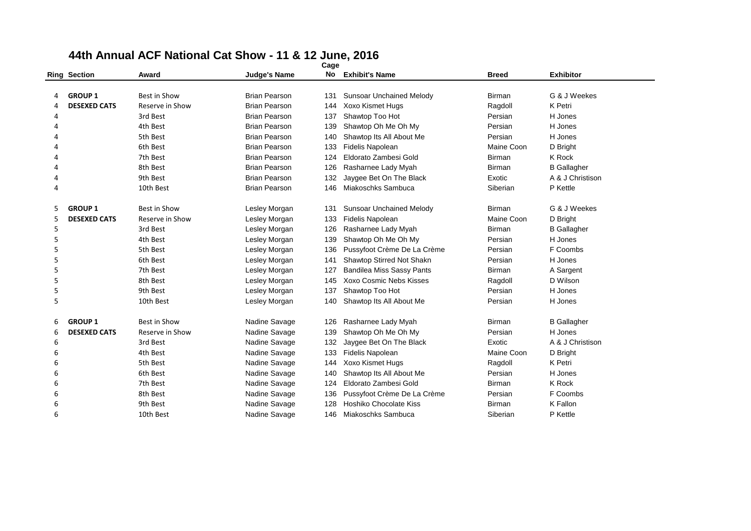|    | <b>Ring Section</b> | Award               | <b>Judge's Name</b>  | No  | <b>Exhibit's Name</b>            | <b>Breed</b>  | <b>Exhibitor</b>   |
|----|---------------------|---------------------|----------------------|-----|----------------------------------|---------------|--------------------|
|    |                     |                     |                      |     |                                  |               |                    |
| 4  | <b>GROUP 1</b>      | <b>Best in Show</b> | <b>Brian Pearson</b> | 131 | <b>Sunsoar Unchained Melody</b>  | Birman        | G & J Weekes       |
| 4  | <b>DESEXED CATS</b> | Reserve in Show     | <b>Brian Pearson</b> | 144 | Xoxo Kismet Hugs                 | Ragdoll       | K Petri            |
| 4  |                     | 3rd Best            | <b>Brian Pearson</b> | 137 | Shawtop Too Hot                  | Persian       | H Jones            |
| 4  |                     | 4th Best            | <b>Brian Pearson</b> | 139 | Shawtop Oh Me Oh My              | Persian       | H Jones            |
|    |                     | 5th Best            | <b>Brian Pearson</b> | 140 | Shawtop Its All About Me         | Persian       | H Jones            |
|    |                     | 6th Best            | <b>Brian Pearson</b> | 133 | Fidelis Napolean                 | Maine Coon    | D Bright           |
| Δ  |                     | 7th Best            | <b>Brian Pearson</b> | 124 | Eldorato Zambesi Gold            | Birman        | K Rock             |
| 4  |                     | 8th Best            | <b>Brian Pearson</b> | 126 | Rasharnee Lady Myah              | <b>Birman</b> | <b>B</b> Gallagher |
| 4  |                     | 9th Best            | <b>Brian Pearson</b> | 132 | Jaygee Bet On The Black          | Exotic        | A & J Christison   |
| 4  |                     | 10th Best           | <b>Brian Pearson</b> | 146 | Miakoschks Sambuca               | Siberian      | P Kettle           |
|    |                     |                     |                      |     |                                  |               |                    |
| 5. | <b>GROUP 1</b>      | Best in Show        | Lesley Morgan        | 131 | <b>Sunsoar Unchained Melody</b>  | Birman        | G & J Weekes       |
| 5  | <b>DESEXED CATS</b> | Reserve in Show     | Lesley Morgan        | 133 | <b>Fidelis Napolean</b>          | Maine Coon    | D Bright           |
| 5  |                     | 3rd Best            | Lesley Morgan        | 126 | Rasharnee Lady Myah              | Birman        | <b>B</b> Gallagher |
| 5  |                     | 4th Best            | Lesley Morgan        | 139 | Shawtop Oh Me Oh My              | Persian       | H Jones            |
| 5  |                     | 5th Best            | Lesley Morgan        | 136 | Pussyfoot Crème De La Crème      | Persian       | F Coombs           |
| 5  |                     | 6th Best            | Lesley Morgan        | 141 | Shawtop Stirred Not Shakn        | Persian       | H Jones            |
| 5  |                     | 7th Best            | Lesley Morgan        | 127 | <b>Bandilea Miss Sassy Pants</b> | <b>Birman</b> | A Sargent          |
| 5  |                     | 8th Best            | Lesley Morgan        | 145 | Xoxo Cosmic Nebs Kisses          | Ragdoll       | D Wilson           |
| 5  |                     | 9th Best            | Lesley Morgan        | 137 | Shawtop Too Hot                  | Persian       | H Jones            |
| 5  |                     | 10th Best           | Lesley Morgan        | 140 | Shawtop Its All About Me         | Persian       | H Jones            |
|    |                     |                     |                      |     |                                  |               |                    |
| 6  | <b>GROUP 1</b>      | <b>Best in Show</b> | Nadine Savage        | 126 | Rasharnee Lady Myah              | <b>Birman</b> | <b>B</b> Gallagher |
| 6  | <b>DESEXED CATS</b> | Reserve in Show     | Nadine Savage        | 139 | Shawtop Oh Me Oh My              | Persian       | H Jones            |
| 6  |                     | 3rd Best            | Nadine Savage        | 132 | Jaygee Bet On The Black          | Exotic        | A & J Christison   |
| 6  |                     | 4th Best            | Nadine Savage        | 133 | Fidelis Napolean                 | Maine Coon    | D Bright           |
| 6  |                     | 5th Best            | Nadine Savage        | 144 | <b>Xoxo Kismet Hugs</b>          | Ragdoll       | K Petri            |
| 6  |                     | 6th Best            | Nadine Savage        | 140 | Shawtop Its All About Me         | Persian       | H Jones            |
| 6  |                     | 7th Best            | Nadine Savage        | 124 | Eldorato Zambesi Gold            | <b>Birman</b> | K Rock             |
| 6  |                     | 8th Best            | Nadine Savage        | 136 | Pussyfoot Crème De La Crème      | Persian       | F Coombs           |
| 6  |                     | 9th Best            | Nadine Savage        | 128 | Hoshiko Chocolate Kiss           | Birman        | K Fallon           |
| 6  |                     | 10th Best           | Nadine Savage        | 146 | Miakoschks Sambuca               | Siberian      | P Kettle           |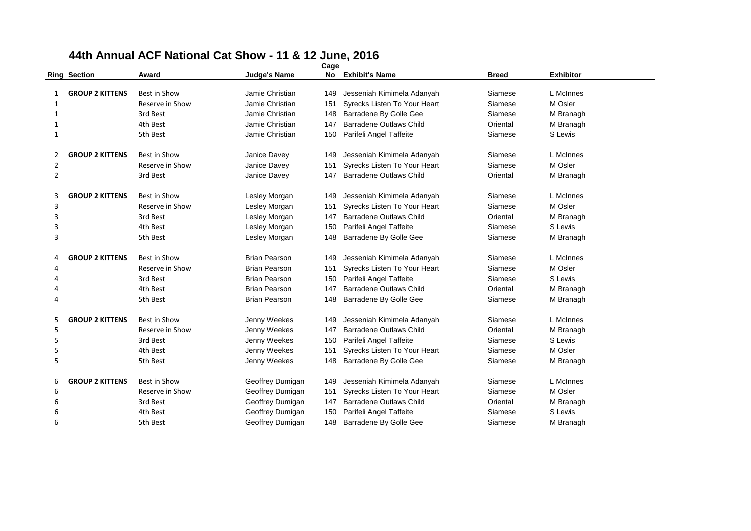|                | <b>Ring Section</b>    | Award               | Judge's Name         | No  | <b>Exhibit's Name</b>          | <b>Breed</b> | <b>Exhibitor</b> |
|----------------|------------------------|---------------------|----------------------|-----|--------------------------------|--------------|------------------|
|                |                        |                     |                      |     |                                |              |                  |
| 1              | <b>GROUP 2 KITTENS</b> | Best in Show        | Jamie Christian      | 149 | Jesseniah Kimimela Adanyah     | Siamese      | L McInnes        |
| 1              |                        | Reserve in Show     | Jamie Christian      | 151 | Syrecks Listen To Your Heart   | Siamese      | M Osler          |
| 1              |                        | 3rd Best            | Jamie Christian      | 148 | Barradene By Golle Gee         | Siamese      | M Branagh        |
| 1              |                        | 4th Best            | Jamie Christian      | 147 | Barradene Outlaws Child        | Oriental     | M Branagh        |
| $\mathbf{1}$   |                        | 5th Best            | Jamie Christian      | 150 | Parifeli Angel Taffeite        | Siamese      | S Lewis          |
| 2              | <b>GROUP 2 KITTENS</b> | <b>Best in Show</b> | Janice Davey         | 149 | Jesseniah Kimimela Adanyah     | Siamese      | L McInnes        |
| $\overline{2}$ |                        | Reserve in Show     | Janice Davey         | 151 | Syrecks Listen To Your Heart   | Siamese      | M Osler          |
| $\overline{2}$ |                        | 3rd Best            | Janice Davey         | 147 | <b>Barradene Outlaws Child</b> | Oriental     | M Branagh        |
| 3              | <b>GROUP 2 KITTENS</b> | <b>Best in Show</b> | Lesley Morgan        | 149 | Jesseniah Kimimela Adanyah     | Siamese      | L McInnes        |
| 3              |                        | Reserve in Show     | Lesley Morgan        | 151 | Syrecks Listen To Your Heart   | Siamese      | M Osler          |
| 3              |                        | 3rd Best            | Lesley Morgan        | 147 | <b>Barradene Outlaws Child</b> | Oriental     | M Branagh        |
| 3              |                        | 4th Best            | Lesley Morgan        | 150 | Parifeli Angel Taffeite        | Siamese      | S Lewis          |
| 3              |                        | 5th Best            | Lesley Morgan        | 148 | Barradene By Golle Gee         | Siamese      | M Branagh        |
| 4              | <b>GROUP 2 KITTENS</b> | <b>Best in Show</b> | <b>Brian Pearson</b> | 149 | Jesseniah Kimimela Adanyah     | Siamese      | L McInnes        |
| 4              |                        | Reserve in Show     | <b>Brian Pearson</b> | 151 | Syrecks Listen To Your Heart   | Siamese      | M Osler          |
|                |                        | 3rd Best            | <b>Brian Pearson</b> | 150 | Parifeli Angel Taffeite        | Siamese      | S Lewis          |
|                |                        | 4th Best            | <b>Brian Pearson</b> | 147 | Barradene Outlaws Child        | Oriental     | M Branagh        |
| 4              |                        | 5th Best            | <b>Brian Pearson</b> | 148 | Barradene By Golle Gee         | Siamese      | M Branagh        |
| 5              | <b>GROUP 2 KITTENS</b> | Best in Show        | Jenny Weekes         | 149 | Jesseniah Kimimela Adanyah     | Siamese      | L McInnes        |
| 5              |                        | Reserve in Show     | Jenny Weekes         | 147 | <b>Barradene Outlaws Child</b> | Oriental     | M Branagh        |
| 5              |                        | 3rd Best            | Jenny Weekes         | 150 | Parifeli Angel Taffeite        | Siamese      | S Lewis          |
| 5              |                        | 4th Best            | Jenny Weekes         | 151 | Syrecks Listen To Your Heart   | Siamese      | M Osler          |
| 5              |                        | 5th Best            | Jenny Weekes         | 148 | Barradene By Golle Gee         | Siamese      | M Branagh        |
| 6              | <b>GROUP 2 KITTENS</b> | Best in Show        | Geoffrey Dumigan     | 149 | Jesseniah Kimimela Adanyah     | Siamese      | L McInnes        |
| 6              |                        | Reserve in Show     | Geoffrey Dumigan     | 151 | Syrecks Listen To Your Heart   | Siamese      | M Osler          |
| 6              |                        | 3rd Best            | Geoffrey Dumigan     | 147 | <b>Barradene Outlaws Child</b> | Oriental     | M Branagh        |
| 6              |                        | 4th Best            | Geoffrey Dumigan     | 150 | Parifeli Angel Taffeite        | Siamese      | S Lewis          |
| 6              |                        | 5th Best            | Geoffrey Dumigan     | 148 | Barradene By Golle Gee         | Siamese      | M Branagh        |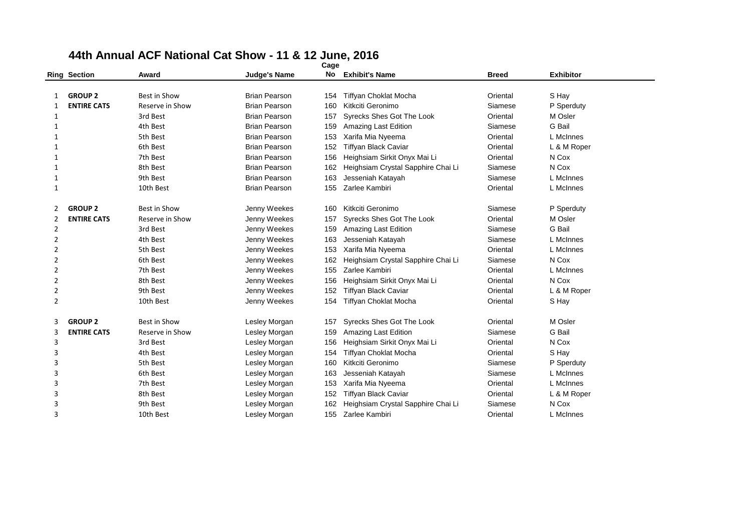|                | <b>Ring Section</b> | Award               | <b>Judge's Name</b>  | No  | <b>Exhibit's Name</b>              | <b>Breed</b> | <b>Exhibitor</b> |
|----------------|---------------------|---------------------|----------------------|-----|------------------------------------|--------------|------------------|
|                |                     |                     |                      |     |                                    |              |                  |
|                | <b>GROUP 2</b>      | Best in Show        | <b>Brian Pearson</b> | 154 | <b>Tiffyan Choklat Mocha</b>       | Oriental     | S Hay            |
| 1              | <b>ENTIRE CATS</b>  | Reserve in Show     | <b>Brian Pearson</b> | 160 | Kitkciti Geronimo                  | Siamese      | P Sperduty       |
| 1              |                     | 3rd Best            | <b>Brian Pearson</b> | 157 | <b>Syrecks Shes Got The Look</b>   | Oriental     | M Osler          |
| 1              |                     | 4th Best            | <b>Brian Pearson</b> | 159 | Amazing Last Edition               | Siamese      | G Bail           |
| 1              |                     | 5th Best            | <b>Brian Pearson</b> | 153 | Xarifa Mia Nyeema                  | Oriental     | L McInnes        |
| 1              |                     | 6th Best            | <b>Brian Pearson</b> | 152 | <b>Tiffyan Black Caviar</b>        | Oriental     | L & M Roper      |
| 1              |                     | 7th Best            | <b>Brian Pearson</b> | 156 | Heighsiam Sirkit Onyx Mai Li       | Oriental     | N Cox            |
| 1              |                     | 8th Best            | <b>Brian Pearson</b> | 162 | Heighsiam Crystal Sapphire Chai Li | Siamese      | N Cox            |
| 1              |                     | 9th Best            | <b>Brian Pearson</b> | 163 | Jesseniah Katayah                  | Siamese      | L McInnes        |
| 1              |                     | 10th Best           | <b>Brian Pearson</b> | 155 | Zarlee Kambiri                     | Oriental     | L McInnes        |
| 2              | <b>GROUP 2</b>      | <b>Best in Show</b> | Jenny Weekes         | 160 | Kitkciti Geronimo                  | Siamese      | P Sperduty       |
| 2              | <b>ENTIRE CATS</b>  | Reserve in Show     | Jenny Weekes         | 157 | Syrecks Shes Got The Look          | Oriental     | M Osler          |
| 2              |                     | 3rd Best            | Jenny Weekes         | 159 | Amazing Last Edition               | Siamese      | G Bail           |
| 2              |                     | 4th Best            | Jenny Weekes         | 163 | Jesseniah Katayah                  | Siamese      | L McInnes        |
| 2              |                     | 5th Best            | Jenny Weekes         | 153 | Xarifa Mia Nyeema                  | Oriental     | L McInnes        |
| $\overline{2}$ |                     | 6th Best            | Jenny Weekes         | 162 | Heighsiam Crystal Sapphire Chai Li | Siamese      | N Cox            |
| 2              |                     | 7th Best            | Jenny Weekes         | 155 | Zarlee Kambiri                     | Oriental     | L McInnes        |
| $\overline{2}$ |                     | 8th Best            | Jenny Weekes         | 156 | Heighsiam Sirkit Onyx Mai Li       | Oriental     | N Cox            |
| $\overline{2}$ |                     | 9th Best            | Jenny Weekes         | 152 | <b>Tiffyan Black Caviar</b>        | Oriental     | L & M Roper      |
| $\overline{2}$ |                     | 10th Best           | Jenny Weekes         | 154 | Tiffyan Choklat Mocha              | Oriental     | S Hay            |
| 3              | <b>GROUP 2</b>      | <b>Best in Show</b> | Lesley Morgan        | 157 | Syrecks Shes Got The Look          | Oriental     | M Osler          |
| 3              | <b>ENTIRE CATS</b>  | Reserve in Show     | Lesley Morgan        | 159 | Amazing Last Edition               | Siamese      | G Bail           |
| 3              |                     | 3rd Best            | Lesley Morgan        | 156 | Heighsiam Sirkit Onyx Mai Li       | Oriental     | N Cox            |
| 3              |                     | 4th Best            | Lesley Morgan        | 154 | Tiffyan Choklat Mocha              | Oriental     | S Hay            |
| 3              |                     | 5th Best            | Lesley Morgan        | 160 | Kitkciti Geronimo                  | Siamese      | P Sperduty       |
| 3              |                     | 6th Best            | Lesley Morgan        | 163 | Jesseniah Katayah                  | Siamese      | L McInnes        |
| 3              |                     | 7th Best            | Lesley Morgan        | 153 | Xarifa Mia Nyeema                  | Oriental     | L McInnes        |
| 3              |                     | 8th Best            | Lesley Morgan        | 152 | <b>Tiffyan Black Caviar</b>        | Oriental     | L & M Roper      |
| 3              |                     | 9th Best            | Lesley Morgan        | 162 | Heighsiam Crystal Sapphire Chai Li | Siamese      | N Cox            |
| 3              |                     | 10th Best           | Lesley Morgan        | 155 | Zarlee Kambiri                     | Oriental     | L McInnes        |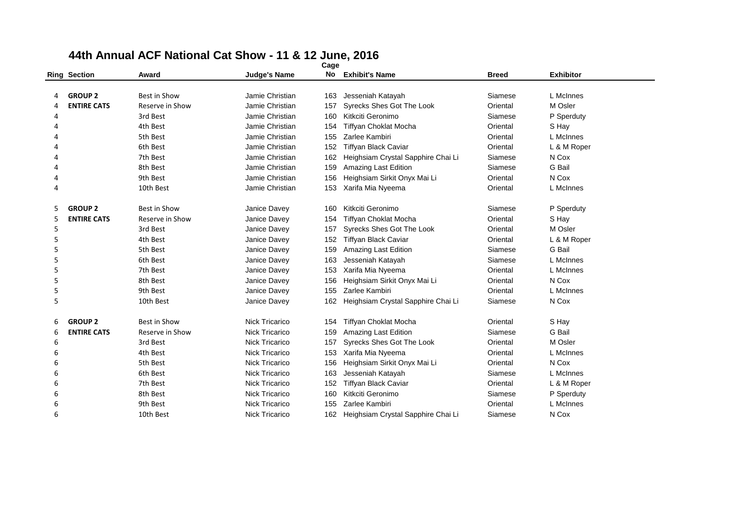|   | <b>Ring Section</b> | Award               | <b>Judge's Name</b>   | No  | <b>Exhibit's Name</b>              | <b>Breed</b> | <b>Exhibitor</b> |  |
|---|---------------------|---------------------|-----------------------|-----|------------------------------------|--------------|------------------|--|
|   |                     |                     |                       |     |                                    |              |                  |  |
|   | <b>GROUP 2</b>      | <b>Best in Show</b> | Jamie Christian       | 163 | Jesseniah Katayah                  | Siamese      | L McInnes        |  |
| Δ | <b>ENTIRE CATS</b>  | Reserve in Show     | Jamie Christian       | 157 | Syrecks Shes Got The Look          | Oriental     | M Osler          |  |
| 4 |                     | 3rd Best            | Jamie Christian       | 160 | Kitkciti Geronimo                  | Siamese      | P Sperduty       |  |
| 4 |                     | 4th Best            | Jamie Christian       | 154 | Tiffyan Choklat Mocha              | Oriental     | S Hay            |  |
|   |                     | 5th Best            | Jamie Christian       | 155 | Zarlee Kambiri                     | Oriental     | L McInnes        |  |
|   |                     | 6th Best            | Jamie Christian       | 152 | Tiffyan Black Caviar               | Oriental     | L & M Roper      |  |
|   |                     | 7th Best            | Jamie Christian       | 162 | Heighsiam Crystal Sapphire Chai Li | Siamese      | N Cox            |  |
| 4 |                     | 8th Best            | Jamie Christian       | 159 | Amazing Last Edition               | Siamese      | G Bail           |  |
| 4 |                     | 9th Best            | Jamie Christian       | 156 | Heighsiam Sirkit Onyx Mai Li       | Oriental     | N Cox            |  |
| 4 |                     | 10th Best           | Jamie Christian       | 153 | Xarifa Mia Nyeema                  | Oriental     | L McInnes        |  |
|   | <b>GROUP 2</b>      | Best in Show        | Janice Davey          | 160 | Kitkciti Geronimo                  | Siamese      | P Sperduty       |  |
| 5 | <b>ENTIRE CATS</b>  | Reserve in Show     | Janice Davey          | 154 | <b>Tiffyan Choklat Mocha</b>       | Oriental     | S Hay            |  |
| 5 |                     | 3rd Best            | Janice Davey          | 157 | Syrecks Shes Got The Look          | Oriental     | M Osler          |  |
| 5 |                     | 4th Best            | Janice Davey          | 152 | <b>Tiffyan Black Caviar</b>        | Oriental     | L & M Roper      |  |
| 5 |                     | 5th Best            | Janice Davey          | 159 | Amazing Last Edition               | Siamese      | G Bail           |  |
| 5 |                     | 6th Best            | Janice Davey          | 163 | Jesseniah Katayah                  | Siamese      | L McInnes        |  |
| 5 |                     | 7th Best            | Janice Davey          | 153 | Xarifa Mia Nyeema                  | Oriental     | L McInnes        |  |
| 5 |                     | 8th Best            | Janice Davey          | 156 | Heighsiam Sirkit Onyx Mai Li       | Oriental     | N Cox            |  |
| 5 |                     | 9th Best            | Janice Davey          | 155 | Zarlee Kambiri                     | Oriental     | L McInnes        |  |
| 5 |                     | 10th Best           | Janice Davey          | 162 | Heighsiam Crystal Sapphire Chai Li | Siamese      | N Cox            |  |
| 6 | <b>GROUP 2</b>      | Best in Show        | Nick Tricarico        | 154 | <b>Tiffyan Choklat Mocha</b>       | Oriental     | S Hay            |  |
| 6 | <b>ENTIRE CATS</b>  | Reserve in Show     | <b>Nick Tricarico</b> | 159 | Amazing Last Edition               | Siamese      | G Bail           |  |
| 6 |                     | 3rd Best            | Nick Tricarico        | 157 | Syrecks Shes Got The Look          | Oriental     | M Osler          |  |
| 6 |                     | 4th Best            | <b>Nick Tricarico</b> | 153 | Xarifa Mia Nyeema                  | Oriental     | L McInnes        |  |
| 6 |                     | 5th Best            | Nick Tricarico        | 156 | Heighsiam Sirkit Onyx Mai Li       | Oriental     | N Cox            |  |
| 6 |                     | 6th Best            | Nick Tricarico        | 163 | Jesseniah Katayah                  | Siamese      | L McInnes        |  |
| 6 |                     | 7th Best            | <b>Nick Tricarico</b> | 152 | Tiffyan Black Caviar               | Oriental     | L & M Roper      |  |
| 6 |                     | 8th Best            | <b>Nick Tricarico</b> | 160 | Kitkciti Geronimo                  | Siamese      | P Sperduty       |  |
| 6 |                     | 9th Best            | <b>Nick Tricarico</b> | 155 | Zarlee Kambiri                     | Oriental     | L McInnes        |  |
| 6 |                     | 10th Best           | <b>Nick Tricarico</b> | 162 | Heighsiam Crystal Sapphire Chai Li | Siamese      | N Cox            |  |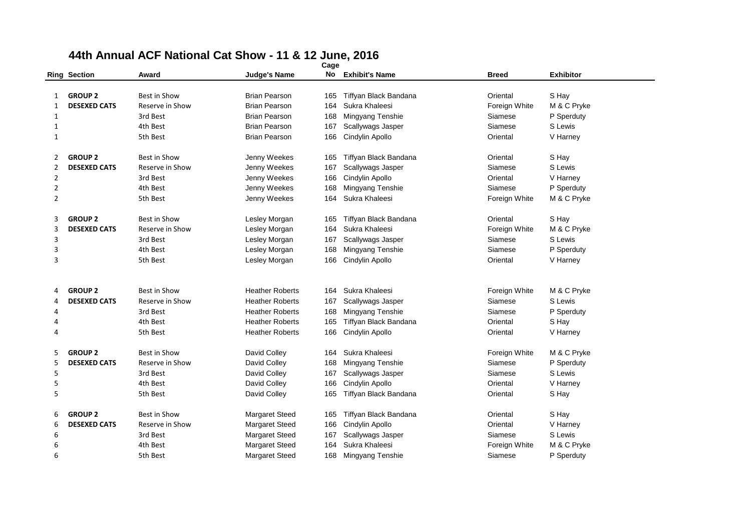|                |                     |                     |                        | vaye |                       |               |                  |
|----------------|---------------------|---------------------|------------------------|------|-----------------------|---------------|------------------|
|                | <b>Ring Section</b> | Award               | <b>Judge's Name</b>    | No   | <b>Exhibit's Name</b> | <b>Breed</b>  | <b>Exhibitor</b> |
|                |                     |                     |                        |      |                       |               |                  |
| 1              | <b>GROUP 2</b>      | <b>Best in Show</b> | <b>Brian Pearson</b>   | 165  | Tiffyan Black Bandana | Oriental      | S Hay            |
| 1              | <b>DESEXED CATS</b> | Reserve in Show     | <b>Brian Pearson</b>   | 164  | Sukra Khaleesi        | Foreign White | M & C Pryke      |
| 1              |                     | 3rd Best            | <b>Brian Pearson</b>   | 168  | Mingyang Tenshie      | Siamese       | P Sperduty       |
| 1              |                     | 4th Best            | <b>Brian Pearson</b>   | 167  | Scallywags Jasper     | Siamese       | S Lewis          |
| 1              |                     | 5th Best            | <b>Brian Pearson</b>   | 166  | Cindylin Apollo       | Oriental      | V Harney         |
| 2              | <b>GROUP 2</b>      | <b>Best in Show</b> | Jenny Weekes           | 165  | Tiffyan Black Bandana | Oriental      | S Hay            |
| 2              | <b>DESEXED CATS</b> | Reserve in Show     | Jenny Weekes           | 167  | Scallywags Jasper     | Siamese       | S Lewis          |
| $\overline{2}$ |                     | 3rd Best            | Jenny Weekes           | 166  | Cindylin Apollo       | Oriental      | V Harney         |
| $\overline{2}$ |                     | 4th Best            | Jenny Weekes           | 168  | Mingyang Tenshie      | Siamese       | P Sperduty       |
| $\overline{2}$ |                     | 5th Best            | Jenny Weekes           | 164  | Sukra Khaleesi        | Foreign White | M & C Pryke      |
| 3              | <b>GROUP 2</b>      | <b>Best in Show</b> | Lesley Morgan          | 165  | Tiffyan Black Bandana | Oriental      | S Hay            |
| 3              | <b>DESEXED CATS</b> | Reserve in Show     | Lesley Morgan          | 164  | Sukra Khaleesi        | Foreign White | M & C Pryke      |
| 3              |                     | 3rd Best            | Lesley Morgan          | 167  | Scallywags Jasper     | Siamese       | S Lewis          |
| 3              |                     | 4th Best            | Lesley Morgan          | 168  | Mingyang Tenshie      | Siamese       | P Sperduty       |
| 3              |                     | 5th Best            | Lesley Morgan          | 166  | Cindylin Apollo       | Oriental      | V Harney         |
|                |                     |                     |                        |      |                       |               |                  |
| 4              | <b>GROUP 2</b>      | <b>Best in Show</b> | <b>Heather Roberts</b> | 164  | Sukra Khaleesi        | Foreign White | M & C Pryke      |
| 4              | <b>DESEXED CATS</b> | Reserve in Show     | <b>Heather Roberts</b> | 167  | Scallywags Jasper     | Siamese       | S Lewis          |
| 4              |                     | 3rd Best            | <b>Heather Roberts</b> | 168  | Mingyang Tenshie      | Siamese       | P Sperduty       |
| 4              |                     | 4th Best            | <b>Heather Roberts</b> | 165  | Tiffyan Black Bandana | Oriental      | S Hay            |
| 4              |                     | 5th Best            | <b>Heather Roberts</b> | 166  | Cindylin Apollo       | Oriental      | V Harney         |
| 5              | <b>GROUP 2</b>      | <b>Best in Show</b> | David Colley           | 164  | Sukra Khaleesi        | Foreign White | M & C Pryke      |
| 5              | <b>DESEXED CATS</b> | Reserve in Show     | David Colley           | 168  | Mingyang Tenshie      | Siamese       | P Sperduty       |
| 5              |                     | 3rd Best            | David Colley           | 167  | Scallywags Jasper     | Siamese       | S Lewis          |
| 5              |                     | 4th Best            | David Colley           | 166  | Cindylin Apollo       | Oriental      | V Harney         |
| 5              |                     | 5th Best            | David Colley           | 165  | Tiffyan Black Bandana | Oriental      | S Hay            |
| 6              | <b>GROUP 2</b>      | <b>Best in Show</b> | <b>Margaret Steed</b>  | 165  | Tiffyan Black Bandana | Oriental      | S Hay            |
| 6              | <b>DESEXED CATS</b> | Reserve in Show     | Margaret Steed         | 166  | Cindylin Apollo       | Oriental      | V Harney         |
| 6              |                     | 3rd Best            | Margaret Steed         | 167  | Scallywags Jasper     | Siamese       | S Lewis          |
| 6              |                     | 4th Best            | <b>Margaret Steed</b>  | 164  | Sukra Khaleesi        | Foreign White | M & C Pryke      |
| 6              |                     | 5th Best            | <b>Margaret Steed</b>  | 168  | Mingyang Tenshie      | Siamese       | P Sperduty       |
|                |                     |                     |                        |      |                       |               |                  |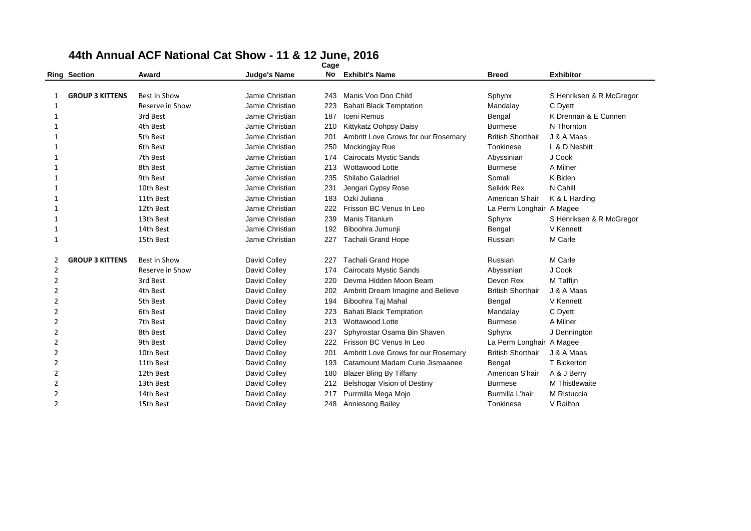|                     | <b>Ring Section</b>    | Award                | <b>Judge's Name</b> | No.        | <b>Exhibit's Name</b>                                   | <b>Breed</b>             | <b>Exhibitor</b>         |
|---------------------|------------------------|----------------------|---------------------|------------|---------------------------------------------------------|--------------------------|--------------------------|
|                     |                        |                      |                     |            |                                                         |                          |                          |
| 1                   | <b>GROUP 3 KITTENS</b> | Best in Show         | Jamie Christian     | 243        | Manis Voo Doo Child                                     | Sphynx                   | S Henriksen & R McGregor |
| 1                   |                        | Reserve in Show      | Jamie Christian     | 223        | <b>Bahati Black Temptation</b>                          | Mandalay                 | C Dyett                  |
| 1                   |                        | 3rd Best             | Jamie Christian     | 187        | Iceni Remus                                             | Bengal                   | K Drennan & E Cunnen     |
| 1                   |                        | 4th Best             | Jamie Christian     | 210        | Kittykatz Oohpsy Daisy                                  | <b>Burmese</b>           | N Thornton               |
| 1                   |                        | 5th Best             | Jamie Christian     | 201        | Ambritt Love Grows for our Rosemary                     | <b>British Shorthair</b> | J & A Maas               |
| 1                   |                        | 6th Best             | Jamie Christian     | 250        | Mockingjay Rue                                          | Tonkinese                | L & D Nesbitt            |
| 1                   |                        | 7th Best             | Jamie Christian     | 174        | <b>Cairocats Mystic Sands</b>                           | Abyssinian               | J Cook                   |
| 1                   |                        | 8th Best             | Jamie Christian     | 213        | Wottawood Lotte                                         | <b>Burmese</b>           | A Milner                 |
| 1                   |                        | 9th Best             | Jamie Christian     | 235        | Shilabo Galadriel                                       | Somali                   | K Biden                  |
| 1                   |                        | 10th Best            | Jamie Christian     | 231        | Jengari Gypsy Rose                                      | <b>Selkirk Rex</b>       | N Cahill                 |
|                     |                        | 11th Best            | Jamie Christian     | 183        | Ozki Juliana                                            | American S'hair          | K & L Harding            |
| 1                   |                        | 12th Best            | Jamie Christian     | 222        | Frisson BC Venus In Leo                                 | La Perm Longhair A Magee |                          |
|                     |                        | 13th Best            | Jamie Christian     | 239        | <b>Manis Titanium</b>                                   | Sphynx                   | S Henriksen & R McGregor |
| 1                   |                        | 14th Best            | Jamie Christian     | 192        | Biboohra Jumunji                                        | Bengal                   | V Kennett                |
| 1                   |                        | 15th Best            | Jamie Christian     | 227        | <b>Tachali Grand Hope</b>                               | Russian                  | M Carle                  |
|                     | <b>GROUP 3 KITTENS</b> | Best in Show         | David Colley        | 227        | <b>Tachali Grand Hope</b>                               | Russian                  | M Carle                  |
| 2                   |                        |                      |                     |            |                                                         |                          |                          |
| 2                   |                        | Reserve in Show      | David Colley        | 174        | <b>Cairocats Mystic Sands</b><br>Devma Hidden Moon Beam | Abyssinian<br>Devon Rex  | J Cook                   |
| 2<br>$\overline{2}$ |                        | 3rd Best<br>4th Best | David Colley        | 220        |                                                         | <b>British Shorthair</b> | M Taffijn<br>J & A Maas  |
|                     |                        | 5th Best             | David Colley        | 202        | Ambritt Dream Imagine and Believe                       |                          |                          |
| 2                   |                        |                      | David Colley        | 194        | Biboohra Taj Mahal                                      | Bengal                   | V Kennett                |
| $\overline{2}$      |                        | 6th Best<br>7th Best | David Colley        | 223<br>213 | <b>Bahati Black Temptation</b><br>Wottawood Lotte       | Mandalay                 | C Dyett<br>A Milner      |
| 2                   |                        | 8th Best             | David Colley        |            |                                                         | Burmese                  |                          |
| 2                   |                        |                      | David Colley        | 237        | Sphynxstar Osama Bin Shaven                             | Sphynx                   | J Dennington             |
| 2                   |                        | 9th Best             | David Colley        | 222        | Frisson BC Venus In Leo                                 | La Perm Longhair A Magee |                          |
| 2                   |                        | 10th Best            | David Colley        | 201        | Ambritt Love Grows for our Rosemary                     | <b>British Shorthair</b> | J & A Maas               |
| 2                   |                        | 11th Best            | David Colley        | 193        | Catamount Madam Curie Jismaanee                         | Bengal                   | T Bickerton              |
| 2                   |                        | 12th Best            | David Colley        | 180        | <b>Blazer Bling By Tiffany</b>                          | American S'hair          | A & J Berry              |
| 2                   |                        | 13th Best            | David Colley        | 212        | Belshogar Vision of Destiny                             | <b>Burmese</b>           | M Thistlewaite           |
| $\overline{2}$      |                        | 14th Best            | David Colley        | 217        | Purrmilla Mega Mojo                                     | Burmilla L'hair          | M Ristuccia              |
| $\overline{2}$      |                        | 15th Best            | David Colley        | 248        | Anniesong Bailey                                        | Tonkinese                | V Railton                |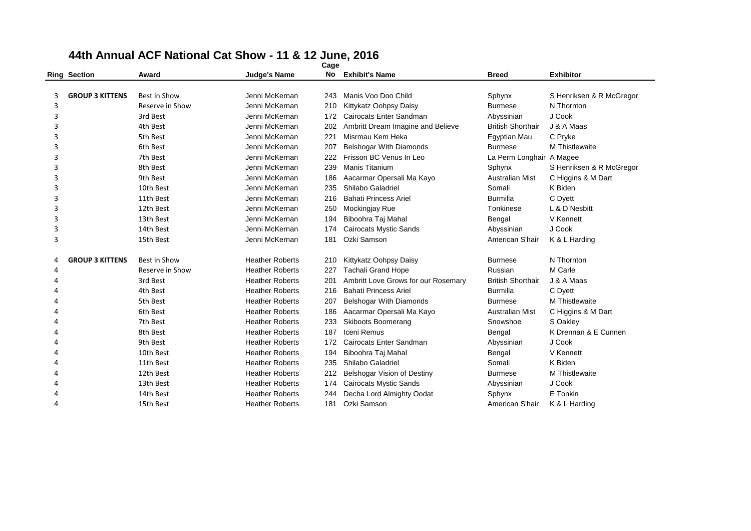|   | <b>Ring Section</b>    | Award           | <b>Judge's Name</b>    | No  | <b>Exhibit's Name</b>               | <b>Breed</b>             | <b>Exhibitor</b>         |
|---|------------------------|-----------------|------------------------|-----|-------------------------------------|--------------------------|--------------------------|
|   |                        |                 |                        |     |                                     |                          |                          |
| 3 | <b>GROUP 3 KITTENS</b> | Best in Show    | Jenni McKernan         | 243 | Manis Voo Doo Child                 | Sphynx                   | S Henriksen & R McGregor |
| 3 |                        | Reserve in Show | Jenni McKernan         | 210 | Kittykatz Oohpsy Daisy              | <b>Burmese</b>           | N Thornton               |
| 3 |                        | 3rd Best        | Jenni McKernan         | 172 | Cairocats Enter Sandman             | Abyssinian               | J Cook                   |
| 3 |                        | 4th Best        | Jenni McKernan         | 202 | Ambritt Dream Imagine and Believe   | <b>British Shorthair</b> | J & A Maas               |
| 3 |                        | 5th Best        | Jenni McKernan         | 221 | Misrmau Kem Heka                    | Egyptian Mau             | C Pryke                  |
| 3 |                        | 6th Best        | Jenni McKernan         | 207 | Belshogar With Diamonds             | <b>Burmese</b>           | M Thistlewaite           |
| 3 |                        | 7th Best        | Jenni McKernan         | 222 | Frisson BC Venus In Leo             | La Perm Longhair A Magee |                          |
| 3 |                        | 8th Best        | Jenni McKernan         | 239 | Manis Titanium                      | Sphynx                   | S Henriksen & R McGregor |
| 3 |                        | 9th Best        | Jenni McKernan         | 186 | Aacarmar Opersali Ma Kayo           | <b>Australian Mist</b>   | C Higgins & M Dart       |
| 3 |                        | 10th Best       | Jenni McKernan         | 235 | Shilabo Galadriel                   | Somali                   | K Biden                  |
| 3 |                        | 11th Best       | Jenni McKernan         | 216 | <b>Bahati Princess Ariel</b>        | <b>Burmilla</b>          | C Dyett                  |
| 3 |                        | 12th Best       | Jenni McKernan         | 250 | Mockingjay Rue                      | Tonkinese                | L & D Nesbitt            |
| 3 |                        | 13th Best       | Jenni McKernan         | 194 | Biboohra Taj Mahal                  | Bengal                   | V Kennett                |
| 3 |                        | 14th Best       | Jenni McKernan         | 174 | <b>Cairocats Mystic Sands</b>       | Abyssinian               | J Cook                   |
| 3 |                        | 15th Best       | Jenni McKernan         | 181 | Ozki Samson                         | American S'hair          | K & L Harding            |
| 4 | <b>GROUP 3 KITTENS</b> | Best in Show    | <b>Heather Roberts</b> | 210 | Kittykatz Oohpsy Daisy              | <b>Burmese</b>           | N Thornton               |
| 4 |                        | Reserve in Show | <b>Heather Roberts</b> | 227 | <b>Tachali Grand Hope</b>           | Russian                  | M Carle                  |
| Δ |                        | 3rd Best        | <b>Heather Roberts</b> | 201 | Ambritt Love Grows for our Rosemary | <b>British Shorthair</b> | J & A Maas               |
| Δ |                        | 4th Best        | <b>Heather Roberts</b> | 216 | <b>Bahati Princess Ariel</b>        | <b>Burmilla</b>          | C Dyett                  |
| Δ |                        | 5th Best        | <b>Heather Roberts</b> | 207 | Belshogar With Diamonds             | <b>Burmese</b>           | M Thistlewaite           |
| 4 |                        | 6th Best        | <b>Heather Roberts</b> | 186 | Aacarmar Opersali Ma Kayo           | <b>Australian Mist</b>   | C Higgins & M Dart       |
| Δ |                        | 7th Best        | <b>Heather Roberts</b> | 233 | Skiboots Boomerang                  | Snowshoe                 | S Oakley                 |
| Δ |                        | 8th Best        | <b>Heather Roberts</b> | 187 | Iceni Remus                         | Bengal                   | K Drennan & E Cunnen     |
| Δ |                        | 9th Best        | <b>Heather Roberts</b> | 172 | Cairocats Enter Sandman             | Abyssinian               | J Cook                   |
| 4 |                        | 10th Best       | <b>Heather Roberts</b> | 194 | Biboohra Taj Mahal                  | Bengal                   | V Kennett                |
| Δ |                        | 11th Best       | <b>Heather Roberts</b> | 235 | Shilabo Galadriel                   | Somali                   | K Biden                  |
| Δ |                        | 12th Best       | <b>Heather Roberts</b> | 212 | Belshogar Vision of Destiny         | <b>Burmese</b>           | M Thistlewaite           |
| Δ |                        | 13th Best       | <b>Heather Roberts</b> | 174 | <b>Cairocats Mystic Sands</b>       | Abyssinian               | J Cook                   |
| Δ |                        | 14th Best       | <b>Heather Roberts</b> | 244 | Decha Lord Almighty Oodat           | Sphynx                   | E Tonkin                 |
| 4 |                        | 15th Best       | <b>Heather Roberts</b> | 181 | Ozki Samson                         | American S'hair          | K & L Harding            |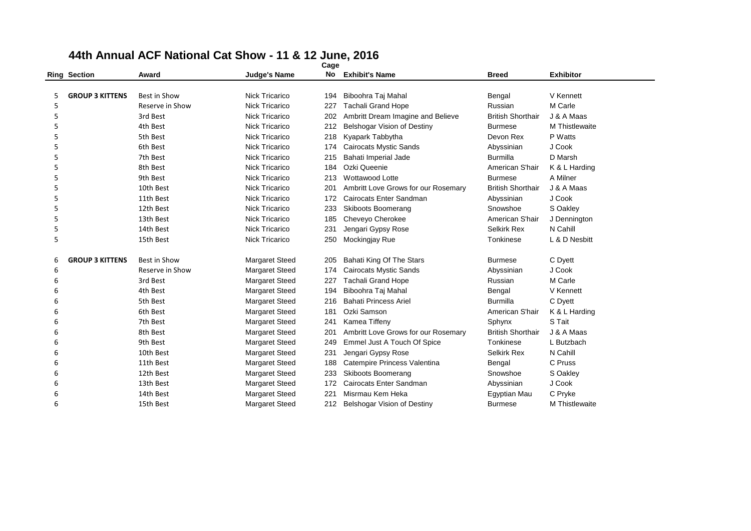|   | <b>Ring Section</b>    | Award           | <b>Judge's Name</b>   | No  | <b>Exhibit's Name</b>               | <b>Breed</b>             | <b>Exhibitor</b> |
|---|------------------------|-----------------|-----------------------|-----|-------------------------------------|--------------------------|------------------|
|   |                        |                 |                       |     |                                     |                          |                  |
| 5 | <b>GROUP 3 KITTENS</b> | Best in Show    | Nick Tricarico        | 194 | Biboohra Taj Mahal                  | Bengal                   | V Kennett        |
| 5 |                        | Reserve in Show | <b>Nick Tricarico</b> | 227 | <b>Tachali Grand Hope</b>           | Russian                  | M Carle          |
| 5 |                        | 3rd Best        | <b>Nick Tricarico</b> | 202 | Ambritt Dream Imagine and Believe   | <b>British Shorthair</b> | J & A Maas       |
| 5 |                        | 4th Best        | <b>Nick Tricarico</b> | 212 | Belshogar Vision of Destiny         | <b>Burmese</b>           | M Thistlewaite   |
| 5 |                        | 5th Best        | <b>Nick Tricarico</b> | 218 | Kyapark Tabbytha                    | Devon Rex                | P Watts          |
| 5 |                        | 6th Best        | <b>Nick Tricarico</b> | 174 | Cairocats Mystic Sands              | Abyssinian               | J Cook           |
| 5 |                        | 7th Best        | <b>Nick Tricarico</b> | 215 | Bahati Imperial Jade                | <b>Burmilla</b>          | D Marsh          |
| 5 |                        | 8th Best        | <b>Nick Tricarico</b> | 184 | Ozki Queenie                        | American S'hair          | K & L Harding    |
| 5 |                        | 9th Best        | <b>Nick Tricarico</b> | 213 | Wottawood Lotte                     | <b>Burmese</b>           | A Milner         |
| 5 |                        | 10th Best       | <b>Nick Tricarico</b> | 201 | Ambritt Love Grows for our Rosemary | <b>British Shorthair</b> | J & A Maas       |
| 5 |                        | 11th Best       | <b>Nick Tricarico</b> | 172 | Cairocats Enter Sandman             | Abyssinian               | J Cook           |
| 5 |                        | 12th Best       | <b>Nick Tricarico</b> | 233 | <b>Skiboots Boomerang</b>           | Snowshoe                 | S Oakley         |
| 5 |                        | 13th Best       | <b>Nick Tricarico</b> | 185 | Cheveyo Cherokee                    | American S'hair          | J Dennington     |
| 5 |                        | 14th Best       | <b>Nick Tricarico</b> | 231 | Jengari Gypsy Rose                  | Selkirk Rex              | N Cahill         |
| 5 |                        | 15th Best       | <b>Nick Tricarico</b> | 250 | Mockingjay Rue                      | Tonkinese                | L & D Nesbitt    |
| 6 | <b>GROUP 3 KITTENS</b> | Best in Show    | <b>Margaret Steed</b> | 205 | Bahati King Of The Stars            | <b>Burmese</b>           | C Dyett          |
| 6 |                        | Reserve in Show | <b>Margaret Steed</b> | 174 | <b>Cairocats Mystic Sands</b>       | Abyssinian               | J Cook           |
| 6 |                        | 3rd Best        | <b>Margaret Steed</b> | 227 | <b>Tachali Grand Hope</b>           | Russian                  | M Carle          |
| 6 |                        | 4th Best        | <b>Margaret Steed</b> | 194 | Biboohra Taj Mahal                  | Bengal                   | V Kennett        |
| 6 |                        | 5th Best        | Margaret Steed        | 216 | <b>Bahati Princess Ariel</b>        | Burmilla                 | C Dyett          |
| 6 |                        | 6th Best        | <b>Margaret Steed</b> | 181 | Ozki Samson                         | American S'hair          | K & L Harding    |
| 6 |                        | 7th Best        | <b>Margaret Steed</b> | 241 | Kamea Tiffeny                       | Sphynx                   | S Tait           |
| 6 |                        | 8th Best        | <b>Margaret Steed</b> | 201 | Ambritt Love Grows for our Rosemary | <b>British Shorthair</b> | J & A Maas       |
| 6 |                        | 9th Best        | <b>Margaret Steed</b> | 249 | Emmel Just A Touch Of Spice         | Tonkinese                | L Butzbach       |
| 6 |                        | 10th Best       | <b>Margaret Steed</b> | 231 | Jengari Gypsy Rose                  | <b>Selkirk Rex</b>       | N Cahill         |
| 6 |                        | 11th Best       | <b>Margaret Steed</b> | 188 | Catempire Princess Valentina        | Bengal                   | C Pruss          |
| 6 |                        | 12th Best       | <b>Margaret Steed</b> | 233 | Skiboots Boomerang                  | Snowshoe                 | S Oakley         |
| 6 |                        | 13th Best       | <b>Margaret Steed</b> | 172 | Cairocats Enter Sandman             | Abyssinian               | J Cook           |
| 6 |                        | 14th Best       | <b>Margaret Steed</b> | 221 | Misrmau Kem Heka                    | Egyptian Mau             | C Pryke          |
| 6 |                        | 15th Best       | <b>Margaret Steed</b> | 212 | Belshogar Vision of Destiny         | <b>Burmese</b>           | M Thistlewaite   |
|   |                        |                 |                       |     |                                     |                          |                  |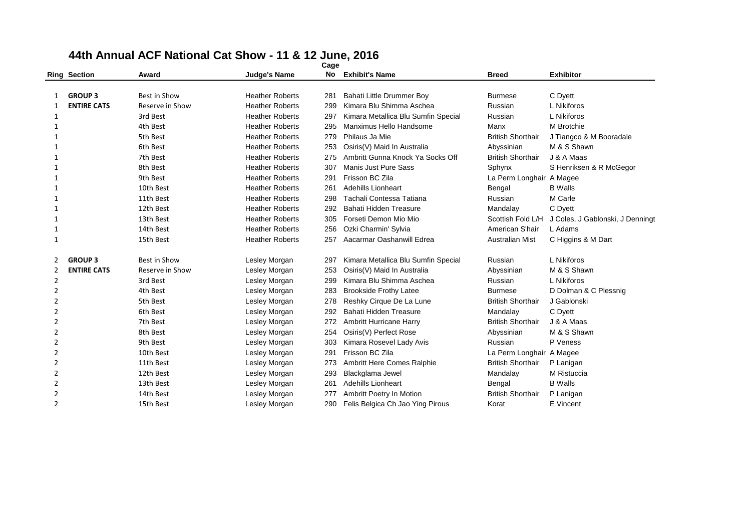# **44th Annual ACF National Cat Show - 11 & 12 June, 2016 Ring Section Award Judge's Name**

|                |                     |                     |                        | Cage |                                     |                          |                                  |
|----------------|---------------------|---------------------|------------------------|------|-------------------------------------|--------------------------|----------------------------------|
|                | <b>Ring Section</b> | Award               | <b>Judge's Name</b>    | No   | <b>Exhibit's Name</b>               | <b>Breed</b>             | <b>Exhibitor</b>                 |
|                |                     |                     |                        |      |                                     |                          |                                  |
|                | <b>GROUP 3</b>      | Best in Show        | <b>Heather Roberts</b> | 281  | Bahati Little Drummer Boy           | <b>Burmese</b>           | C Dyett                          |
| 1              | <b>ENTIRE CATS</b>  | Reserve in Show     | <b>Heather Roberts</b> | 299  | Kimara Blu Shimma Aschea            | Russian                  | L Nikiforos                      |
| 1              |                     | 3rd Best            | <b>Heather Roberts</b> | 297  | Kimara Metallica Blu Sumfin Special | Russian                  | L Nikiforos                      |
| 1              |                     | 4th Best            | <b>Heather Roberts</b> | 295  | Manximus Hello Handsome             | Manx                     | M Brotchie                       |
| 1              |                     | 5th Best            | <b>Heather Roberts</b> | 279  | Philaus Ja Mie                      | <b>British Shorthair</b> | J Tiangco & M Booradale          |
| 1              |                     | 6th Best            | <b>Heather Roberts</b> | 253  | Osiris(V) Maid In Australia         | Abyssinian               | M & S Shawn                      |
| 1              |                     | 7th Best            | <b>Heather Roberts</b> | 275  | Ambritt Gunna Knock Ya Socks Off    | <b>British Shorthair</b> | J & A Maas                       |
|                |                     | 8th Best            | <b>Heather Roberts</b> | 307  | Manis Just Pure Sass                | Sphynx                   | S Henriksen & R McGegor          |
| 1              |                     | 9th Best            | <b>Heather Roberts</b> | 291  | Frisson BC Zila                     | La Perm Longhair A Magee |                                  |
| 1              |                     | 10th Best           | <b>Heather Roberts</b> | 261  | <b>Adehills Lionheart</b>           | Bengal                   | <b>B</b> Walls                   |
| 1              |                     | 11th Best           | <b>Heather Roberts</b> | 298  | Tachali Contessa Tatiana            | Russian                  | M Carle                          |
| 1              |                     | 12th Best           | <b>Heather Roberts</b> | 292  | Bahati Hidden Treasure              | Mandalay                 | C Dyett                          |
| 1              |                     | 13th Best           | <b>Heather Roberts</b> | 305  | Forseti Demon Mio Mio               | Scottish Fold L/H        | J Coles, J Gablonski, J Denningt |
| 1              |                     | 14th Best           | <b>Heather Roberts</b> | 256  | Ozki Charmin' Sylvia                | American S'hair          | L Adams                          |
| 1              |                     | 15th Best           | <b>Heather Roberts</b> | 257  | Aacarmar Oashanwill Edrea           | Australian Mist          | C Higgins & M Dart               |
| 2              | <b>GROUP 3</b>      | <b>Best in Show</b> | Lesley Morgan          | 297  | Kimara Metallica Blu Sumfin Special | Russian                  | L Nikiforos                      |
| 2              | <b>ENTIRE CATS</b>  | Reserve in Show     | Lesley Morgan          | 253  | Osiris(V) Maid In Australia         | Abyssinian               | M & S Shawn                      |
| $\overline{2}$ |                     | 3rd Best            | Lesley Morgan          | 299  | Kimara Blu Shimma Aschea            | Russian                  | L Nikiforos                      |
| 2              |                     | 4th Best            | Lesley Morgan          | 283  | <b>Brookside Frothy Latee</b>       | <b>Burmese</b>           | D Dolman & C Plessnig            |
| 2              |                     | 5th Best            | Lesley Morgan          | 278  | Reshky Cirque De La Lune            | <b>British Shorthair</b> | J Gablonski                      |
| $\overline{2}$ |                     | 6th Best            | Lesley Morgan          | 292  | Bahati Hidden Treasure              | Mandalay                 | C Dyett                          |
| 2              |                     | 7th Best            | Lesley Morgan          | 272  | Ambritt Hurricane Harry             | <b>British Shorthair</b> | J & A Maas                       |
| $\overline{2}$ |                     | 8th Best            | Lesley Morgan          | 254  | Osiris(V) Perfect Rose              | Abyssinian               | M & S Shawn                      |
| 2              |                     | 9th Best            | Lesley Morgan          | 303  | Kimara Rosevel Lady Avis            | Russian                  | P Veness                         |
| $\overline{2}$ |                     | 10th Best           | Lesley Morgan          | 291  | Frisson BC Zila                     | La Perm Longhair A Magee |                                  |
| 2              |                     | 11th Best           | Lesley Morgan          | 273  | Ambritt Here Comes Ralphie          | <b>British Shorthair</b> | P Lanigan                        |
| 2              |                     | 12th Best           | Lesley Morgan          | 293  | Blackglama Jewel                    | Mandalay                 | M Ristuccia                      |
| 2              |                     | 13th Best           | Lesley Morgan          | 261  | <b>Adehills Lionheart</b>           | Bengal                   | <b>B</b> Walls                   |
| 2              |                     | 14th Best           | Lesley Morgan          | 277  | Ambritt Poetry In Motion            | <b>British Shorthair</b> | P Lanigan                        |
| $\overline{2}$ |                     | 15th Best           | Lesley Morgan          | 290  | Felis Belgica Ch Jao Ying Pirous    | Korat                    | E Vincent                        |
|                |                     |                     |                        |      |                                     |                          |                                  |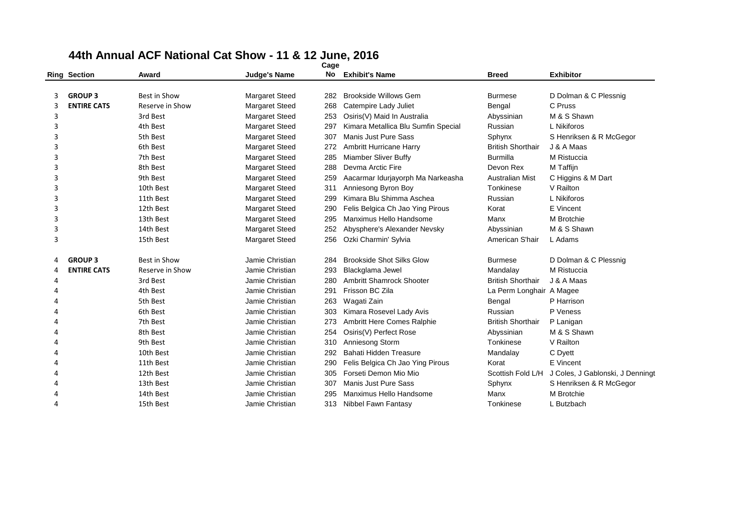|   | <b>Ring Section</b> | Award               | <b>Judge's Name</b>   | No   | <b>Exhibit's Name</b>               | <b>Breed</b>             | <b>Exhibitor</b>                 |
|---|---------------------|---------------------|-----------------------|------|-------------------------------------|--------------------------|----------------------------------|
|   |                     |                     |                       |      |                                     |                          |                                  |
|   | <b>GROUP 3</b>      | Best in Show        | <b>Margaret Steed</b> | 282. | <b>Brookside Willows Gem</b>        | <b>Burmese</b>           | D Dolman & C Plessnig            |
| 3 | <b>ENTIRE CATS</b>  | Reserve in Show     | Margaret Steed        | 268  | Catempire Lady Juliet               | Bengal                   | C Pruss                          |
| 3 |                     | 3rd Best            | <b>Margaret Steed</b> | 253  | Osiris(V) Maid In Australia         | Abyssinian               | M & S Shawn                      |
| 3 |                     | 4th Best            | <b>Margaret Steed</b> | 297  | Kimara Metallica Blu Sumfin Special | Russian                  | L Nikiforos                      |
| 3 |                     | 5th Best            | <b>Margaret Steed</b> | 307  | Manis Just Pure Sass                | Sphynx                   | S Henriksen & R McGegor          |
| 3 |                     | 6th Best            | <b>Margaret Steed</b> | 272  | <b>Ambritt Hurricane Harry</b>      | <b>British Shorthair</b> | J & A Maas                       |
| 3 |                     | 7th Best            | <b>Margaret Steed</b> | 285  | <b>Miamber Sliver Buffy</b>         | <b>Burmilla</b>          | M Ristuccia                      |
| 3 |                     | 8th Best            | <b>Margaret Steed</b> | 288  | Devma Arctic Fire                   | Devon Rex                | M Taffijn                        |
| 3 |                     | 9th Best            | <b>Margaret Steed</b> | 259  | Aacarmar Idurjayorph Ma Narkeasha   | <b>Australian Mist</b>   | C Higgins & M Dart               |
| 3 |                     | 10th Best           | <b>Margaret Steed</b> | 311  | Anniesong Byron Boy                 | Tonkinese                | V Railton                        |
| 3 |                     | 11th Best           | <b>Margaret Steed</b> | 299  | Kimara Blu Shimma Aschea            | Russian                  | L Nikiforos                      |
| 3 |                     | 12th Best           | <b>Margaret Steed</b> | 290  | Felis Belgica Ch Jao Ying Pirous    | Korat                    | E Vincent                        |
| 3 |                     | 13th Best           | <b>Margaret Steed</b> | 295  | Manximus Hello Handsome             | Manx                     | M Brotchie                       |
| 3 |                     | 14th Best           | <b>Margaret Steed</b> | 252  | Abysphere's Alexander Nevsky        | Abyssinian               | M & S Shawn                      |
| 3 |                     | 15th Best           | Margaret Steed        | 256  | Ozki Charmin' Sylvia                | American S'hair          | L Adams                          |
| 4 | <b>GROUP 3</b>      | <b>Best in Show</b> | Jamie Christian       | 284  | <b>Brookside Shot Silks Glow</b>    | <b>Burmese</b>           | D Dolman & C Plessnig            |
| 4 | <b>ENTIRE CATS</b>  | Reserve in Show     | Jamie Christian       | 293  | Blackglama Jewel                    | Mandalay                 | M Ristuccia                      |
| 4 |                     | 3rd Best            | Jamie Christian       | 280  | <b>Ambritt Shamrock Shooter</b>     | <b>British Shorthair</b> | J & A Maas                       |
| Δ |                     | 4th Best            | Jamie Christian       | 291  | Frisson BC Zila                     | La Perm Longhair A Magee |                                  |
|   |                     | 5th Best            | Jamie Christian       | 263  | Wagati Zain                         | Bengal                   | P Harrison                       |
|   |                     | 6th Best            | Jamie Christian       | 303  | Kimara Rosevel Lady Avis            | Russian                  | P Veness                         |
|   |                     | 7th Best            | Jamie Christian       | 273  | <b>Ambritt Here Comes Ralphie</b>   | <b>British Shorthair</b> | P Lanigan                        |
|   |                     | 8th Best            | Jamie Christian       | 254  | Osiris(V) Perfect Rose              | Abyssinian               | M & S Shawn                      |
|   |                     | 9th Best            | Jamie Christian       | 310  | Anniesong Storm                     | Tonkinese                | V Railton                        |
|   |                     | 10th Best           | Jamie Christian       | 292  | <b>Bahati Hidden Treasure</b>       | Mandalay                 | C Dyett                          |
|   |                     | 11th Best           | Jamie Christian       | 290  | Felis Belgica Ch Jao Ying Pirous    | Korat                    | E Vincent                        |
|   |                     | 12th Best           | Jamie Christian       | 305  | Forseti Demon Mio Mio               | Scottish Fold L/H        | J Coles, J Gablonski, J Denningt |
|   |                     | 13th Best           | Jamie Christian       | 307  | Manis Just Pure Sass                | Sphynx                   | S Henriksen & R McGegor          |
|   |                     | 14th Best           | Jamie Christian       | 295  | Manximus Hello Handsome             | Manx                     | M Brotchie                       |
| Δ |                     | 15th Best           | Jamie Christian       |      | 313 Nibbel Fawn Fantasy             | Tonkinese                | L Butzbach                       |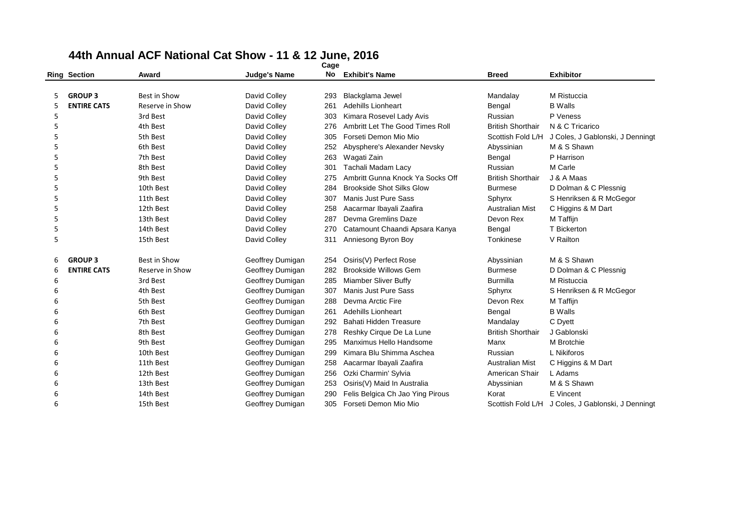|   | <b>Ring Section</b> | Award               | <b>Judge's Name</b> | No  | <b>Exhibit's Name</b>            | <b>Breed</b>             | <b>Exhibitor</b>                                   |
|---|---------------------|---------------------|---------------------|-----|----------------------------------|--------------------------|----------------------------------------------------|
|   |                     |                     |                     |     |                                  |                          |                                                    |
| 5 | <b>GROUP 3</b>      | Best in Show        | David Colley        | 293 | Blackglama Jewel                 | Mandalay                 | M Ristuccia                                        |
| 5 | <b>ENTIRE CATS</b>  | Reserve in Show     | David Colley        | 261 | <b>Adehills Lionheart</b>        | Bengal                   | <b>B</b> Walls                                     |
| 5 |                     | 3rd Best            | David Colley        | 303 | Kimara Rosevel Lady Avis         | Russian                  | P Veness                                           |
| 5 |                     | 4th Best            | David Colley        | 276 | Ambritt Let The Good Times Roll  | <b>British Shorthair</b> | N & C Tricarico                                    |
| 5 |                     | 5th Best            | David Colley        | 305 | Forseti Demon Mio Mio            | Scottish Fold L/H        | J Coles, J Gablonski, J Denningt                   |
| 5 |                     | 6th Best            | David Colley        | 252 | Abysphere's Alexander Nevsky     | Abyssinian               | M & S Shawn                                        |
| 5 |                     | 7th Best            | David Colley        | 263 | Wagati Zain                      | Bengal                   | P Harrison                                         |
| 5 |                     | 8th Best            | David Colley        | 301 | Tachali Madam Lacy               | Russian                  | M Carle                                            |
| 5 |                     | 9th Best            | David Colley        | 275 | Ambritt Gunna Knock Ya Socks Off | <b>British Shorthair</b> | J & A Maas                                         |
| 5 |                     | 10th Best           | David Colley        | 284 | <b>Brookside Shot Silks Glow</b> | <b>Burmese</b>           | D Dolman & C Plessnig                              |
| 5 |                     | 11th Best           | David Colley        | 307 | Manis Just Pure Sass             | Sphynx                   | S Henriksen & R McGegor                            |
| 5 |                     | 12th Best           | David Colley        | 258 | Aacarmar Ibayali Zaafira         | <b>Australian Mist</b>   | C Higgins & M Dart                                 |
| 5 |                     | 13th Best           | David Colley        | 287 | Devma Gremlins Daze              | Devon Rex                | M Taffijn                                          |
| 5 |                     | 14th Best           | David Colley        | 270 | Catamount Chaandi Apsara Kanya   | Bengal                   | T Bickerton                                        |
| 5 |                     | 15th Best           | David Colley        | 311 | Anniesong Byron Boy              | Tonkinese                | V Railton                                          |
| 6 | <b>GROUP 3</b>      | <b>Best in Show</b> | Geoffrey Dumigan    | 254 | Osiris(V) Perfect Rose           | Abyssinian               | M & S Shawn                                        |
| 6 | <b>ENTIRE CATS</b>  | Reserve in Show     | Geoffrey Dumigan    | 282 | <b>Brookside Willows Gem</b>     | <b>Burmese</b>           | D Dolman & C Plessnig                              |
| 6 |                     | 3rd Best            | Geoffrey Dumigan    | 285 | Miamber Sliver Buffy             | <b>Burmilla</b>          | M Ristuccia                                        |
| 6 |                     | 4th Best            | Geoffrey Dumigan    | 307 | Manis Just Pure Sass             | Sphynx                   | S Henriksen & R McGegor                            |
| 6 |                     | 5th Best            | Geoffrey Dumigan    | 288 | Devma Arctic Fire                | Devon Rex                | M Taffijn                                          |
| 6 |                     | 6th Best            | Geoffrey Dumigan    | 261 | <b>Adehills Lionheart</b>        | Bengal                   | <b>B</b> Walls                                     |
| 6 |                     | 7th Best            | Geoffrey Dumigan    | 292 | Bahati Hidden Treasure           | Mandalay                 | C Dyett                                            |
| 6 |                     | 8th Best            | Geoffrey Dumigan    | 278 | Reshky Cirque De La Lune         | <b>British Shorthair</b> | J Gablonski                                        |
| 6 |                     | 9th Best            | Geoffrey Dumigan    | 295 | Manximus Hello Handsome          | Manx                     | M Brotchie                                         |
| 6 |                     | 10th Best           | Geoffrey Dumigan    | 299 | Kimara Blu Shimma Aschea         | Russian                  | L Nikiforos                                        |
| 6 |                     | 11th Best           | Geoffrey Dumigan    | 258 | Aacarmar Ibayali Zaafira         | <b>Australian Mist</b>   | C Higgins & M Dart                                 |
| 6 |                     | 12th Best           | Geoffrey Dumigan    | 256 | Ozki Charmin' Sylvia             | American S'hair          | L Adams                                            |
| 6 |                     | 13th Best           | Geoffrey Dumigan    | 253 | Osiris(V) Maid In Australia      | Abyssinian               | M & S Shawn                                        |
| 6 |                     | 14th Best           | Geoffrey Dumigan    | 290 | Felis Belgica Ch Jao Ying Pirous | Korat                    | E Vincent                                          |
| 6 |                     | 15th Best           | Geoffrey Dumigan    | 305 | Forseti Demon Mio Mio            |                          | Scottish Fold L/H J Coles, J Gablonski, J Denningt |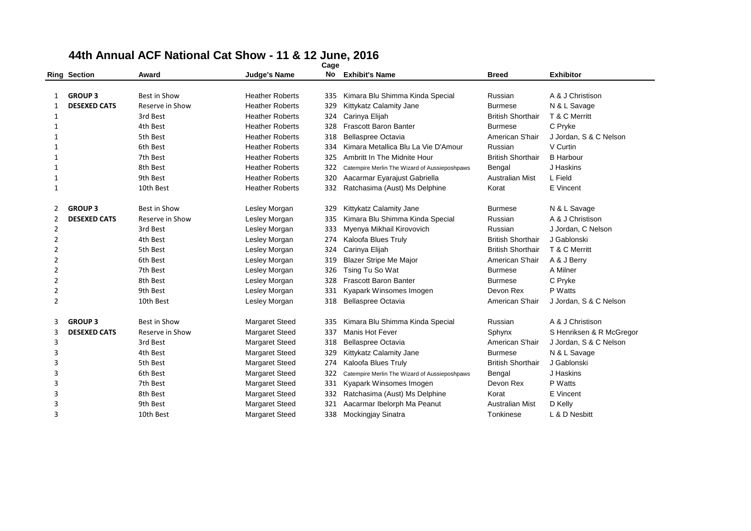|                | <b>Ring Section</b> | Award               | <b>Judge's Name</b>    | No. | <b>Exhibit's Name</b>                         | <b>Breed</b>             | <b>Exhibitor</b>         |
|----------------|---------------------|---------------------|------------------------|-----|-----------------------------------------------|--------------------------|--------------------------|
|                |                     |                     |                        |     |                                               |                          |                          |
| 1              | <b>GROUP 3</b>      | Best in Show        | <b>Heather Roberts</b> | 335 | Kimara Blu Shimma Kinda Special               | Russian                  | A & J Christison         |
| 1              | <b>DESEXED CATS</b> | Reserve in Show     | <b>Heather Roberts</b> | 329 | Kittykatz Calamity Jane                       | <b>Burmese</b>           | N & L Savage             |
| 1              |                     | 3rd Best            | <b>Heather Roberts</b> | 324 | Carinya Elijah                                | <b>British Shorthair</b> | T & C Merritt            |
| 1              |                     | 4th Best            | <b>Heather Roberts</b> | 328 | <b>Frascott Baron Banter</b>                  | <b>Burmese</b>           | C Pryke                  |
| 1              |                     | 5th Best            | <b>Heather Roberts</b> | 318 | <b>Bellaspree Octavia</b>                     | American S'hair          | J Jordan, S & C Nelson   |
| 1              |                     | 6th Best            | <b>Heather Roberts</b> | 334 | Kimara Metallica Blu La Vie D'Amour           | Russian                  | V Curtin                 |
| 1              |                     | 7th Best            | <b>Heather Roberts</b> | 325 | Ambritt In The Midnite Hour                   | <b>British Shorthair</b> | <b>B</b> Harbour         |
| 1              |                     | 8th Best            | <b>Heather Roberts</b> | 322 | Catempire Merlin The Wizard of Aussieposhpaws | Bengal                   | J Haskins                |
| 1              |                     | 9th Best            | <b>Heather Roberts</b> | 320 | Aacarmar Eyarajust Gabriella                  | <b>Australian Mist</b>   | L Field                  |
| $\mathbf{1}$   |                     | 10th Best           | <b>Heather Roberts</b> | 332 | Ratchasima (Aust) Ms Delphine                 | Korat                    | E Vincent                |
| 2              | <b>GROUP 3</b>      | Best in Show        | Lesley Morgan          | 329 | Kittykatz Calamity Jane                       | <b>Burmese</b>           | N & L Savage             |
| 2              | <b>DESEXED CATS</b> | Reserve in Show     | Lesley Morgan          | 335 | Kimara Blu Shimma Kinda Special               | Russian                  | A & J Christison         |
| 2              |                     | 3rd Best            | Lesley Morgan          | 333 | Myenya Mikhail Kirovovich                     | Russian                  | J Jordan, C Nelson       |
| $\overline{2}$ |                     | 4th Best            | Lesley Morgan          | 274 | Kaloofa Blues Truly                           | <b>British Shorthair</b> | J Gablonski              |
| 2              |                     | 5th Best            | Lesley Morgan          | 324 | Carinya Elijah                                | <b>British Shorthair</b> | T & C Merritt            |
| 2              |                     | 6th Best            | Lesley Morgan          | 319 | <b>Blazer Stripe Me Major</b>                 | American S'hair          | A & J Berry              |
| $\overline{2}$ |                     | 7th Best            | Lesley Morgan          | 326 | Tsing Tu So Wat                               | <b>Burmese</b>           | A Milner                 |
| $\overline{2}$ |                     | 8th Best            | Lesley Morgan          | 328 | <b>Frascott Baron Banter</b>                  | <b>Burmese</b>           | C Pryke                  |
| $\overline{2}$ |                     | 9th Best            | Lesley Morgan          | 331 | Kyapark Winsomes Imogen                       | Devon Rex                | P Watts                  |
| 2              |                     | 10th Best           | Lesley Morgan          | 318 | Bellaspree Octavia                            | American S'hair          | J Jordan, S & C Nelson   |
| 3              | <b>GROUP 3</b>      | <b>Best in Show</b> | <b>Margaret Steed</b>  | 335 | Kimara Blu Shimma Kinda Special               | Russian                  | A & J Christison         |
| 3              | <b>DESEXED CATS</b> | Reserve in Show     | <b>Margaret Steed</b>  | 337 | Manis Hot Fever                               | Sphynx                   | S Henriksen & R McGregor |
| 3              |                     | 3rd Best            | <b>Margaret Steed</b>  | 318 | <b>Bellaspree Octavia</b>                     | American S'hair          | J Jordan, S & C Nelson   |
| 3              |                     | 4th Best            | <b>Margaret Steed</b>  | 329 | Kittykatz Calamity Jane                       | <b>Burmese</b>           | N & L Savage             |
| 3              |                     | 5th Best            | <b>Margaret Steed</b>  | 274 | Kaloofa Blues Truly                           | <b>British Shorthair</b> | J Gablonski              |
| 3              |                     | 6th Best            | <b>Margaret Steed</b>  | 322 | Catempire Merlin The Wizard of Aussieposhpaws | Bengal                   | J Haskins                |
| 3              |                     | 7th Best            | <b>Margaret Steed</b>  | 331 | Kyapark Winsomes Imogen                       | Devon Rex                | P Watts                  |
| 3              |                     | 8th Best            | <b>Margaret Steed</b>  | 332 | Ratchasima (Aust) Ms Delphine                 | Korat                    | E Vincent                |
| $\overline{3}$ |                     | 9th Best            | <b>Margaret Steed</b>  | 321 | Aacarmar Ibelorph Ma Peanut                   | <b>Australian Mist</b>   | D Kelly                  |
| $\overline{3}$ |                     | 10th Best           | <b>Margaret Steed</b>  | 338 | Mockingjay Sinatra                            | Tonkinese                | L & D Nesbitt            |
|                |                     |                     |                        |     |                                               |                          |                          |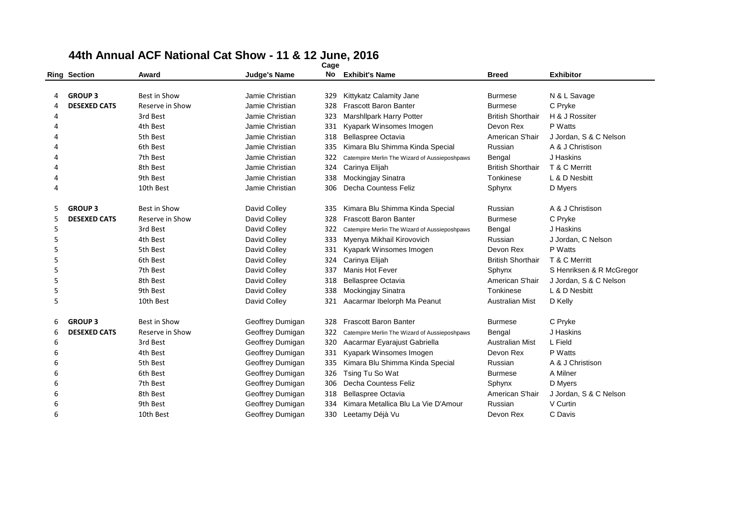|   | <b>Ring Section</b> | Award               | <b>Judge's Name</b> | No  | <b>Exhibit's Name</b>                         | <b>Breed</b>             | <b>Exhibitor</b>         |
|---|---------------------|---------------------|---------------------|-----|-----------------------------------------------|--------------------------|--------------------------|
|   |                     |                     |                     |     |                                               |                          |                          |
|   | <b>GROUP 3</b>      | <b>Best in Show</b> | Jamie Christian     | 329 | Kittykatz Calamity Jane                       | <b>Burmese</b>           | N & L Savage             |
| 4 | <b>DESEXED CATS</b> | Reserve in Show     | Jamie Christian     | 328 | <b>Frascott Baron Banter</b>                  | <b>Burmese</b>           | C Pryke                  |
| 4 |                     | 3rd Best            | Jamie Christian     | 323 | <b>Marshllpark Harry Potter</b>               | <b>British Shorthair</b> | H & J Rossiter           |
|   |                     | 4th Best            | Jamie Christian     | 331 | Kyapark Winsomes Imogen                       | Devon Rex                | P Watts                  |
|   |                     | 5th Best            | Jamie Christian     | 318 | Bellaspree Octavia                            | American S'hair          | J Jordan, S & C Nelson   |
|   |                     | 6th Best            | Jamie Christian     | 335 | Kimara Blu Shimma Kinda Special               | Russian                  | A & J Christison         |
|   |                     | 7th Best            | Jamie Christian     | 322 | Catempire Merlin The Wizard of Aussieposhpaws | Bengal                   | J Haskins                |
| Δ |                     | 8th Best            | Jamie Christian     | 324 | Carinya Elijah                                | <b>British Shorthair</b> | T & C Merritt            |
| 4 |                     | 9th Best            | Jamie Christian     | 338 | Mockingjay Sinatra                            | Tonkinese                | L & D Nesbitt            |
| 4 |                     | 10th Best           | Jamie Christian     | 306 | Decha Countess Feliz                          | Sphynx                   | D Myers                  |
|   | <b>GROUP 3</b>      | Best in Show        | David Colley        | 335 | Kimara Blu Shimma Kinda Special               | Russian                  | A & J Christison         |
| 5 | <b>DESEXED CATS</b> | Reserve in Show     | David Colley        | 328 | <b>Frascott Baron Banter</b>                  | <b>Burmese</b>           | C Pryke                  |
| 5 |                     | 3rd Best            | David Colley        | 322 | Catempire Merlin The Wizard of Aussieposhpaws | Bengal                   | J Haskins                |
| 5 |                     | 4th Best            | David Colley        | 333 | Myenya Mikhail Kirovovich                     | Russian                  | J Jordan, C Nelson       |
| 5 |                     | 5th Best            | David Colley        | 331 | Kyapark Winsomes Imogen                       | Devon Rex                | P Watts                  |
| 5 |                     | 6th Best            | David Colley        | 324 | Carinya Elijah                                | <b>British Shorthair</b> | T & C Merritt            |
| 5 |                     | 7th Best            | David Colley        | 337 | Manis Hot Fever                               | Sphynx                   | S Henriksen & R McGregor |
| 5 |                     | 8th Best            | David Colley        | 318 | <b>Bellaspree Octavia</b>                     | American S'hair          | J Jordan, S & C Nelson   |
| 5 |                     | 9th Best            | David Colley        | 338 | Mockingjay Sinatra                            | Tonkinese                | L & D Nesbitt            |
| 5 |                     | 10th Best           | David Colley        | 321 | Aacarmar Ibelorph Ma Peanut                   | <b>Australian Mist</b>   | D Kelly                  |
| 6 | <b>GROUP 3</b>      | <b>Best in Show</b> | Geoffrey Dumigan    | 328 | <b>Frascott Baron Banter</b>                  | <b>Burmese</b>           | C Pryke                  |
| 6 | <b>DESEXED CATS</b> | Reserve in Show     | Geoffrey Dumigan    | 322 | Catempire Merlin The Wizard of Aussieposhpaws | Bengal                   | J Haskins                |
| 6 |                     | 3rd Best            | Geoffrey Dumigan    | 320 | Aacarmar Eyarajust Gabriella                  | <b>Australian Mist</b>   | L Field                  |
| 6 |                     | 4th Best            | Geoffrey Dumigan    | 331 | Kyapark Winsomes Imogen                       | Devon Rex                | P Watts                  |
| 6 |                     | 5th Best            | Geoffrey Dumigan    | 335 | Kimara Blu Shimma Kinda Special               | Russian                  | A & J Christison         |
| 6 |                     | 6th Best            | Geoffrey Dumigan    | 326 | Tsing Tu So Wat                               | <b>Burmese</b>           | A Milner                 |
| 6 |                     | 7th Best            | Geoffrey Dumigan    | 306 | Decha Countess Feliz                          | Sphynx                   | D Myers                  |
| 6 |                     | 8th Best            | Geoffrey Dumigan    | 318 | <b>Bellaspree Octavia</b>                     | American S'hair          | J Jordan, S & C Nelson   |
| 6 |                     | 9th Best            | Geoffrey Dumigan    | 334 | Kimara Metallica Blu La Vie D'Amour           | Russian                  | V Curtin                 |
| 6 |                     | 10th Best           | Geoffrey Dumigan    | 330 | Leetamy Déjà Vu                               | Devon Rex                | C Davis                  |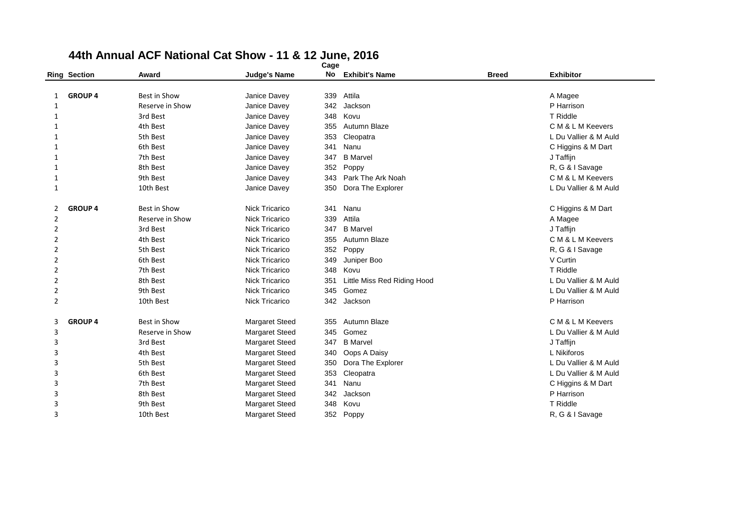|                |                     |                     |                       | cage |                             |              |                       |
|----------------|---------------------|---------------------|-----------------------|------|-----------------------------|--------------|-----------------------|
|                | <b>Ring Section</b> | Award               | <b>Judge's Name</b>   | No   | <b>Exhibit's Name</b>       | <b>Breed</b> | <b>Exhibitor</b>      |
|                |                     |                     |                       |      |                             |              |                       |
| 1              | <b>GROUP 4</b>      | Best in Show        | Janice Davey          | 339  | Attila                      |              | A Magee               |
| 1              |                     | Reserve in Show     | Janice Davey          | 342  | Jackson                     |              | P Harrison            |
| 1              |                     | 3rd Best            | Janice Davey          | 348  | Kovu                        |              | T Riddle              |
| $\mathbf{1}$   |                     | 4th Best            | Janice Davey          | 355  | Autumn Blaze                |              | C M & L M Keevers     |
| $\mathbf{1}$   |                     | 5th Best            | Janice Davey          | 353  | Cleopatra                   |              | L Du Vallier & M Auld |
| $\mathbf{1}$   |                     | 6th Best            | Janice Davey          | 341  | Nanu                        |              | C Higgins & M Dart    |
| $\mathbf{1}$   |                     | 7th Best            | Janice Davey          | 347  | <b>B</b> Marvel             |              | J Taffijn             |
| 1              |                     | 8th Best            | Janice Davey          | 352  | Poppy                       |              | R, G & I Savage       |
| 1              |                     | 9th Best            | Janice Davey          | 343  | Park The Ark Noah           |              | C M & L M Keevers     |
| $\mathbf{1}$   |                     | 10th Best           | Janice Davey          | 350  | Dora The Explorer           |              | L Du Vallier & M Auld |
| 2              | <b>GROUP 4</b>      | Best in Show        | <b>Nick Tricarico</b> | 341  | Nanu                        |              | C Higgins & M Dart    |
| $\overline{2}$ |                     | Reserve in Show     | <b>Nick Tricarico</b> | 339  | Attila                      |              | A Magee               |
| 2              |                     | 3rd Best            | Nick Tricarico        | 347  | <b>B</b> Marvel             |              | J Taffijn             |
| $\overline{2}$ |                     | 4th Best            | Nick Tricarico        | 355  | Autumn Blaze                |              | C M & L M Keevers     |
| $\overline{2}$ |                     | 5th Best            | Nick Tricarico        | 352  | Poppy                       |              | R, G & I Savage       |
| $\overline{2}$ |                     | 6th Best            | <b>Nick Tricarico</b> | 349  | Juniper Boo                 |              | V Curtin              |
| $\overline{2}$ |                     | 7th Best            | <b>Nick Tricarico</b> | 348  | Kovu                        |              | T Riddle              |
| 2              |                     | 8th Best            | <b>Nick Tricarico</b> | 351  | Little Miss Red Riding Hood |              | L Du Vallier & M Auld |
| $\overline{2}$ |                     | 9th Best            | <b>Nick Tricarico</b> | 345  | Gomez                       |              | L Du Vallier & M Auld |
| $\overline{2}$ |                     | 10th Best           | <b>Nick Tricarico</b> | 342  | Jackson                     |              | P Harrison            |
| 3              | <b>GROUP 4</b>      | <b>Best in Show</b> | <b>Margaret Steed</b> | 355  | Autumn Blaze                |              | C M & L M Keevers     |
| 3              |                     | Reserve in Show     | <b>Margaret Steed</b> | 345  | Gomez                       |              | L Du Vallier & M Auld |
| 3              |                     | 3rd Best            | <b>Margaret Steed</b> | 347  | <b>B</b> Marvel             |              | J Taffijn             |
| 3              |                     | 4th Best            | <b>Margaret Steed</b> | 340  | Oops A Daisy                |              | L Nikiforos           |
| 3              |                     | 5th Best            | <b>Margaret Steed</b> | 350  | Dora The Explorer           |              | L Du Vallier & M Auld |
| 3              |                     | 6th Best            | <b>Margaret Steed</b> | 353  | Cleopatra                   |              | L Du Vallier & M Auld |
| 3              |                     | 7th Best            | <b>Margaret Steed</b> | 341  | Nanu                        |              | C Higgins & M Dart    |
| 3              |                     | 8th Best            | <b>Margaret Steed</b> | 342  | Jackson                     |              | P Harrison            |
| 3              |                     | 9th Best            | <b>Margaret Steed</b> | 348  | Kovu                        |              | <b>T</b> Riddle       |
| 3              |                     | 10th Best           | <b>Margaret Steed</b> | 352  | Poppy                       |              | R, G & I Savage       |
|                |                     |                     |                       |      |                             |              |                       |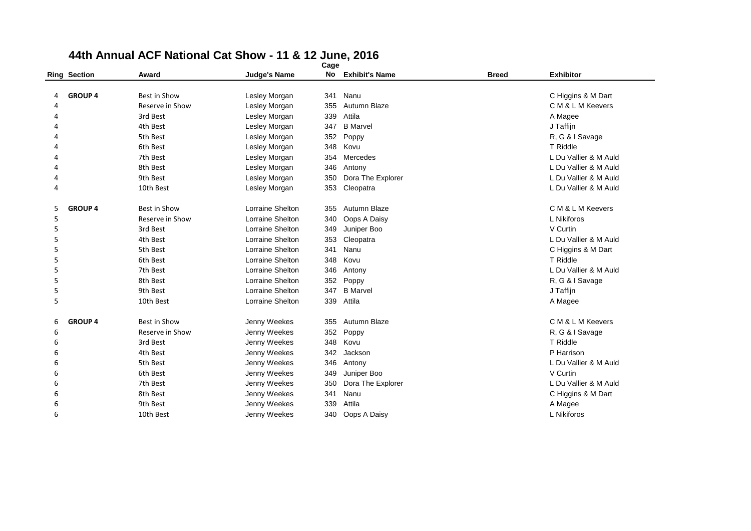|   | <b>Ring Section</b> | Award               | <b>Judge's Name</b>     | No  | <b>Exhibit's Name</b> | <b>Breed</b> | <b>Exhibitor</b>      |
|---|---------------------|---------------------|-------------------------|-----|-----------------------|--------------|-----------------------|
|   |                     |                     |                         |     |                       |              |                       |
| 4 | <b>GROUP 4</b>      | <b>Best in Show</b> | Lesley Morgan           | 341 | Nanu                  |              | C Higgins & M Dart    |
| 4 |                     | Reserve in Show     | Lesley Morgan           | 355 | Autumn Blaze          |              | C M & L M Keevers     |
| 4 |                     | 3rd Best            | Lesley Morgan           | 339 | Attila                |              | A Magee               |
| Δ |                     | 4th Best            | Lesley Morgan           | 347 | <b>B</b> Marvel       |              | J Taffijn             |
| Δ |                     | 5th Best            | Lesley Morgan           | 352 | Poppy                 |              | R, G & I Savage       |
| Δ |                     | 6th Best            | Lesley Morgan           | 348 | Kovu                  |              | T Riddle              |
| Δ |                     | 7th Best            | Lesley Morgan           | 354 | Mercedes              |              | L Du Vallier & M Auld |
| 4 |                     | 8th Best            | Lesley Morgan           | 346 | Antony                |              | L Du Vallier & M Auld |
| 4 |                     | 9th Best            | Lesley Morgan           | 350 | Dora The Explorer     |              | L Du Vallier & M Auld |
| 4 |                     | 10th Best           | Lesley Morgan           | 353 | Cleopatra             |              | L Du Vallier & M Auld |
| 5 | <b>GROUP 4</b>      | Best in Show        | Lorraine Shelton        | 355 | Autumn Blaze          |              | C M & L M Keevers     |
| 5 |                     | Reserve in Show     | Lorraine Shelton        | 340 | Oops A Daisy          |              | L Nikiforos           |
| 5 |                     | 3rd Best            | Lorraine Shelton        | 349 | Juniper Boo           |              | V Curtin              |
| 5 |                     | 4th Best            | <b>Lorraine Shelton</b> | 353 | Cleopatra             |              | L Du Vallier & M Auld |
| 5 |                     | 5th Best            | Lorraine Shelton        | 341 | Nanu                  |              | C Higgins & M Dart    |
| 5 |                     | 6th Best            | <b>Lorraine Shelton</b> | 348 | Kovu                  |              | T Riddle              |
| 5 |                     | 7th Best            | Lorraine Shelton        | 346 | Antony                |              | L Du Vallier & M Auld |
| 5 |                     | 8th Best            | <b>Lorraine Shelton</b> | 352 | Poppy                 |              | R, G & I Savage       |
| 5 |                     | 9th Best            | Lorraine Shelton        | 347 | <b>B</b> Marvel       |              | J Taffijn             |
| 5 |                     | 10th Best           | <b>Lorraine Shelton</b> | 339 | Attila                |              | A Magee               |
| 6 | <b>GROUP 4</b>      | Best in Show        | Jenny Weekes            | 355 | Autumn Blaze          |              | C M & L M Keevers     |
| 6 |                     | Reserve in Show     | Jenny Weekes            | 352 | Poppy                 |              | R, G & I Savage       |
| 6 |                     | 3rd Best            | Jenny Weekes            | 348 | Kovu                  |              | T Riddle              |
| 6 |                     | 4th Best            | Jenny Weekes            | 342 | Jackson               |              | P Harrison            |
| 6 |                     | 5th Best            | Jenny Weekes            | 346 | Antony                |              | L Du Vallier & M Auld |
| 6 |                     | 6th Best            | Jenny Weekes            | 349 | Juniper Boo           |              | V Curtin              |
| 6 |                     | 7th Best            | Jenny Weekes            | 350 | Dora The Explorer     |              | L Du Vallier & M Auld |
| 6 |                     | 8th Best            | Jenny Weekes            | 341 | Nanu                  |              | C Higgins & M Dart    |
| 6 |                     | 9th Best            | Jenny Weekes            | 339 | Attila                |              | A Magee               |
| 6 |                     | 10th Best           | Jenny Weekes            | 340 | Oops A Daisy          |              | L Nikiforos           |
|   |                     |                     |                         |     |                       |              |                       |